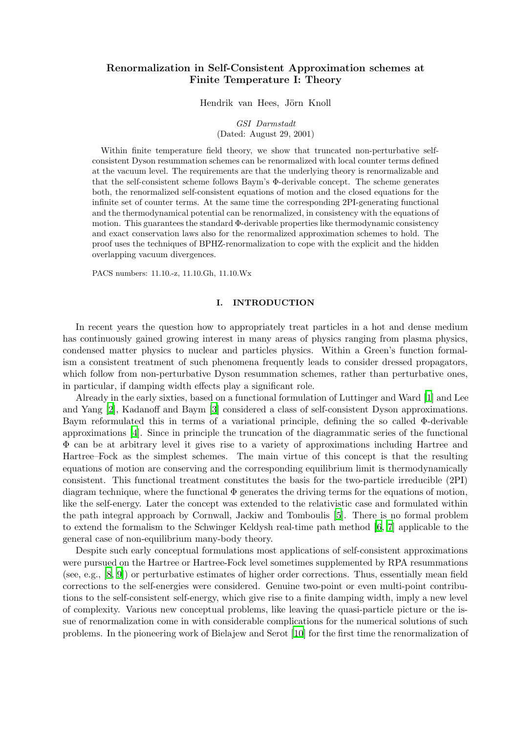# Renormalization in Self-Consistent Approximation schemes at Finite Temperature I: Theory

Hendrik van Hees, Jörn Knoll

GSI Darmstadt (Dated: August 29, 2001)

Within finite temperature field theory, we show that truncated non-perturbative selfconsistent Dyson resummation schemes can be renormalized with local counter terms defined at the vacuum level. The requirements are that the underlying theory is renormalizable and that the self-consistent scheme follows Baym's Φ-derivable concept. The scheme generates both, the renormalized self-consistent equations of motion and the closed equations for the infinite set of counter terms. At the same time the corresponding 2PI-generating functional and the thermodynamical potential can be renormalized, in consistency with the equations of motion. This guarantees the standard  $\Phi$ -derivable properties like thermodynamic consistency and exact conservation laws also for the renormalized approximation schemes to hold. The proof uses the techniques of BPHZ-renormalization to cope with the explicit and the hidden overlapping vacuum divergences.

PACS numbers: 11.10.-z, 11.10.Gh, 11.10.Wx

## I. INTRODUCTION

In recent years the question how to appropriately treat particles in a hot and dense medium has continuously gained growing interest in many areas of physics ranging from plasma physics, condensed matter physics to nuclear and particles physics. Within a Green's function formalism a consistent treatment of such phenomena frequently leads to consider dressed propagators, which follow from non-perturbative Dyson resummation schemes, rather than perturbative ones, in particular, if damping width effects play a significant role.

Already in the early sixties, based on a functional formulation of Luttinger and Ward [\[1\]](#page-20-0) and Lee and Yang [\[2](#page-20-1)], Kadanoff and Baym [\[3](#page-20-2)] considered a class of self-consistent Dyson approximations. Baym reformulated this in terms of a variational principle, defining the so called Φ-derivable approximations [\[4\]](#page-20-3). Since in principle the truncation of the diagrammatic series of the functional Φ can be at arbitrary level it gives rise to a variety of approximations including Hartree and Hartree–Fock as the simplest schemes. The main virtue of this concept is that the resulting equations of motion are conserving and the corresponding equilibrium limit is thermodynamically consistent. This functional treatment constitutes the basis for the two-particle irreducible (2PI) diagram technique, where the functional  $\Phi$  generates the driving terms for the equations of motion, like the self-energy. Later the concept was extended to the relativistic case and formulated within the path integral approach by Cornwall, Jackiw and Tomboulis [[5](#page-21-0)]. There is no formal problem to extend the formalism to the Schwinger Keldysh real-time path method [\[6](#page-21-1), [7\]](#page-21-2) applicable to the general case of non-equilibrium many-body theory.

Despite such early conceptual formulations most applications of self-consistent approximations were pursued on the Hartree or Hartree-Fock level sometimes supplemented by RPA resummations (see, e.g., [\[8](#page-21-3), [9\]](#page-21-4)) or perturbative estimates of higher order corrections. Thus, essentially mean field corrections to the self-energies were considered. Genuine two-point or even multi-point contributions to the self-consistent self-energy, which give rise to a finite damping width, imply a new level of complexity. Various new conceptual problems, like leaving the quasi-particle picture or the issue of renormalization come in with considerable complications for the numerical solutions of such problems. In the pioneering work of Bielajew and Serot [\[10](#page-21-5)] for the first time the renormalization of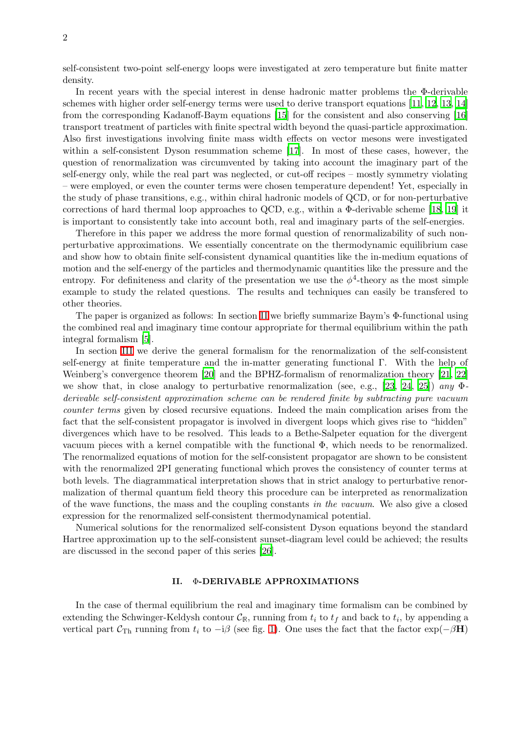self-consistent two-point self-energy loops were investigated at zero temperature but finite matter density.

In recent years with the special interest in dense hadronic matter problems the Φ-derivable schemes with higher order self-energy terms were used to derive transport equations [\[11,](#page-21-6) [12](#page-21-7), [13](#page-21-8), [14](#page-21-9)] from the corresponding Kadanoff-Baym equations [\[15](#page-21-10)] for the consistent and also conserving [\[16](#page-21-11)] transport treatment of particles with finite spectral width beyond the quasi-particle approximation. Also first investigations involving finite mass width effects on vector mesons were investigated within a self-consistent Dyson resummation scheme [\[17](#page-21-12)]. In most of these cases, however, the question of renormalization was circumvented by taking into account the imaginary part of the self-energy only, while the real part was neglected, or cut-off recipes – mostly symmetry violating – were employed, or even the counter terms were chosen temperature dependent! Yet, especially in the study of phase transitions, e.g., within chiral hadronic models of QCD, or for non-perturbative corrections of hard thermal loop approaches to QCD, e.g., within a Φ-derivable scheme [[18,](#page-21-13) [19](#page-21-14)] it is important to consistently take into account both, real and imaginary parts of the self-energies.

Therefore in this paper we address the more formal question of renormalizability of such nonperturbative approximations. We essentially concentrate on the thermodynamic equilibrium case and show how to obtain finite self-consistent dynamical quantities like the in-medium equations of motion and the self-energy of the particles and thermodynamic quantities like the pressure and the entropy. For definiteness and clarity of the presentation we use the  $\phi^4$ -theory as the most simple example to study the related questions. The results and techniques can easily be transfered to other theories.

The paper is organized as follows: In section [II](#page-1-0) we briefly summarize Baym's Φ-functional using the combined real and imaginary time contour appropriate for thermal equilibrium within the path integral formalism [\[5\]](#page-21-0).

In section [III](#page-5-0) we derive the general formalism for the renormalization of the self-consistent self-energy at finite temperature and the in-matter generating functional Γ. With the help of Weinberg's convergence theorem [\[20](#page-21-15)] and the BPHZ-formalism of renormalization theory [\[21](#page-21-16), [22](#page-21-17)] we show that, in close analogy to perturbative renormalization (see, e.g., [\[23](#page-21-18), [24,](#page-21-19) [25\]](#page-21-20)) any  $\Phi$ derivable self-consistent approximation scheme can be rendered finite by subtracting pure vacuum counter terms given by closed recursive equations. Indeed the main complication arises from the fact that the self-consistent propagator is involved in divergent loops which gives rise to "hidden" divergences which have to be resolved. This leads to a Bethe-Salpeter equation for the divergent vacuum pieces with a kernel compatible with the functional  $\Phi$ , which needs to be renormalized. The renormalized equations of motion for the self-consistent propagator are shown to be consistent with the renormalized 2PI generating functional which proves the consistency of counter terms at both levels. The diagrammatical interpretation shows that in strict analogy to perturbative renormalization of thermal quantum field theory this procedure can be interpreted as renormalization of the wave functions, the mass and the coupling constants in the vacuum. We also give a closed expression for the renormalized self-consistent thermodynamical potential.

Numerical solutions for the renormalized self-consistent Dyson equations beyond the standard Hartree approximation up to the self-consistent sunset-diagram level could be achieved; the results are discussed in the second paper of this series [\[26\]](#page-21-21).

### II. Φ-DERIVABLE APPROXIMATIONS

<span id="page-1-0"></span>In the case of thermal equilibrium the real and imaginary time formalism can be combined by extending the Schwinger-Keldysh contour  $\mathcal{C}_{\mathbb{R}}$ , running from  $t_i$  to  $t_f$  and back to  $t_i$ , by appending a vertical part  $C_{\text{Th}}$  running from  $t_i$  to  $-i\beta$  (see fig. [1\)](#page-2-0). One uses the fact that the factor exp( $-\beta$ H)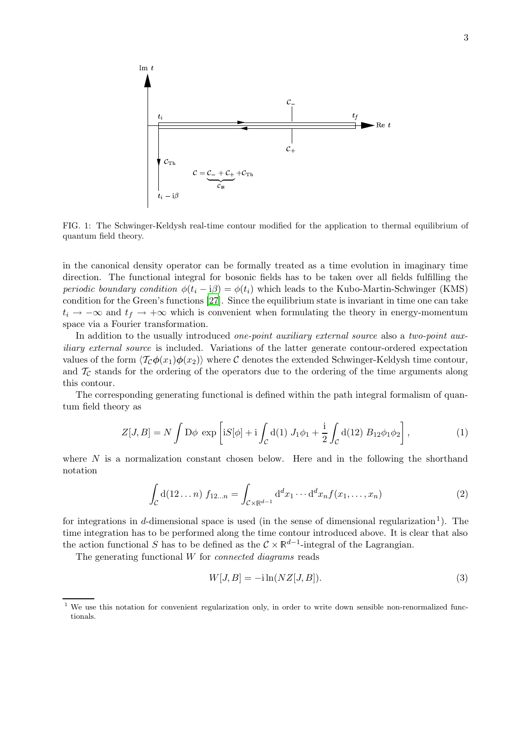

<span id="page-2-0"></span>FIG. 1: The Schwinger-Keldysh real-time contour modified for the application to thermal equilibrium of quantum field theory.

in the canonical density operator can be formally treated as a time evolution in imaginary time direction. The functional integral for bosonic fields has to be taken over all fields fulfilling the periodic boundary condition  $\phi(t_i - i\beta) = \phi(t_i)$  which leads to the Kubo-Martin-Schwinger (KMS) condition for the Green's functions [\[27](#page-21-22)]. Since the equilibrium state is invariant in time one can take  $t_i \rightarrow -\infty$  and  $t_f \rightarrow +\infty$  which is convenient when formulating the theory in energy-momentum space via a Fourier transformation.

In addition to the usually introduced *one-point auxiliary external source* also a *two-point aux*iliary external source is included. Variations of the latter generate contour-ordered expectation values of the form  $\langle \mathcal{T}_{\mathcal{C}}\phi(x_1)\phi(x_2)\rangle$  where C denotes the extended Schwinger-Keldysh time contour, and  $\mathcal{T}_{\mathcal{C}}$  stands for the ordering of the operators due to the ordering of the time arguments along this contour.

<span id="page-2-1"></span>The corresponding generating functional is defined within the path integral formalism of quantum field theory as

$$
Z[J, B] = N \int D\phi \exp\left[iS[\phi] + i \int_C d(1) J_1 \phi_1 + \frac{i}{2} \int_C d(12) B_{12} \phi_1 \phi_2\right],
$$
 (1)

where  $N$  is a normalization constant chosen below. Here and in the following the shorthand notation

$$
\int_{\mathcal{C}} d(12 \dots n) f_{12 \dots n} = \int_{\mathcal{C} \times \mathbb{R}^{d-1}} d^d x_1 \cdots d^d x_n f(x_1, \dots, x_n)
$$
\n(2)

for integrations in d-dimensional space is used (in the sense of dimensional regularization<sup>1</sup>). The time integration has to be performed along the time contour introduced above. It is clear that also the action functional S has to be defined as the  $\mathcal{C} \times \mathbb{R}^{d-1}$ -integral of the Lagrangian.

The generating functional  $W$  for *connected diagrams* reads

<span id="page-2-2"></span>
$$
W[J, B] = -i \ln(NZ[J, B]). \tag{3}
$$

<sup>&</sup>lt;sup>1</sup> We use this notation for convenient regularization only, in order to write down sensible non-renormalized functionals.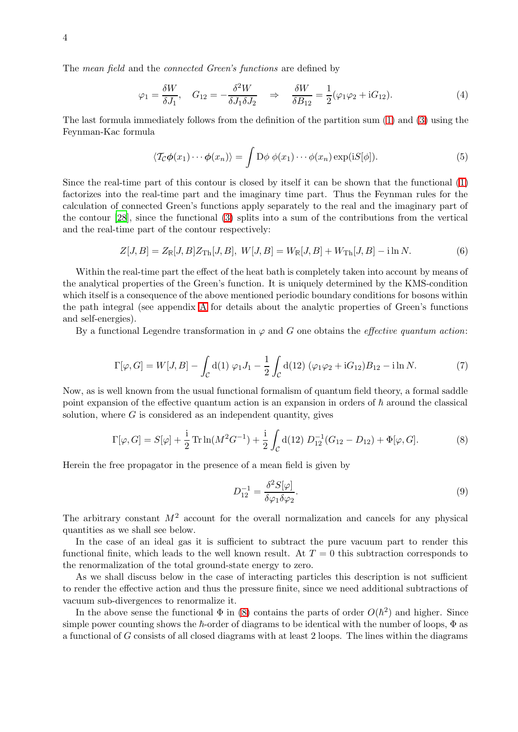The mean field and the connected Green's functions are defined by

<span id="page-3-1"></span>
$$
\varphi_1 = \frac{\delta W}{\delta J_1}, \quad G_{12} = -\frac{\delta^2 W}{\delta J_1 \delta J_2} \quad \Rightarrow \quad \frac{\delta W}{\delta B_{12}} = \frac{1}{2} (\varphi_1 \varphi_2 + i G_{12}). \tag{4}
$$

The last formula immediately follows from the definition of the partition sum [\(1\)](#page-2-1) and [\(3\)](#page-2-2) using the Feynman-Kac formula

$$
\langle \mathcal{T}_{\mathcal{C}} \phi(x_1) \cdots \phi(x_n) \rangle = \int \mathcal{D}\phi \, \phi(x_1) \cdots \phi(x_n) \exp(iS[\phi]). \tag{5}
$$

Since the real-time part of this contour is closed by itself it can be shown that the functional [\(1\)](#page-2-1) factorizes into the real-time part and the imaginary time part. Thus the Feynman rules for the calculation of connected Green's functions apply separately to the real and the imaginary part of the contour [\[28](#page-21-23)], since the functional [\(3\)](#page-2-2) splits into a sum of the contributions from the vertical and the real-time part of the contour respectively:

$$
Z[J, B] = Z_{\mathbb{R}}[J, B]Z_{\text{Th}}[J, B], W[J, B] = W_{\mathbb{R}}[J, B] + W_{\text{Th}}[J, B] - \text{i} \ln N. \tag{6}
$$

Within the real-time part the effect of the heat bath is completely taken into account by means of the analytical properties of the Green's function. It is uniquely determined by the KMS-condition which itself is a consequence of the above mentioned periodic boundary conditions for bosons within the path integral (see appendix [A](#page-18-0) for details about the analytic properties of Green's functions and self-energies).

<span id="page-3-2"></span>By a functional Legendre transformation in  $\varphi$  and G one obtains the *effective quantum action*:

$$
\Gamma[\varphi, G] = W[J, B] - \int_C d(1) \varphi_1 J_1 - \frac{1}{2} \int_C d(12) (\varphi_1 \varphi_2 + iG_{12}) B_{12} - i \ln N. \tag{7}
$$

Now, as is well known from the usual functional formalism of quantum field theory, a formal saddle point expansion of the effective quantum action is an expansion in orders of  $\hbar$  around the classical solution, where  $G$  is considered as an independent quantity, gives

$$
\Gamma[\varphi, G] = S[\varphi] + \frac{i}{2} \operatorname{Tr} \ln(M^2 G^{-1}) + \frac{i}{2} \int_C d(12) D_{12}^{-1} (G_{12} - D_{12}) + \Phi[\varphi, G]. \tag{8}
$$

Herein the free propagator in the presence of a mean field is given by

<span id="page-3-3"></span><span id="page-3-0"></span>
$$
D_{12}^{-1} = \frac{\delta^2 S[\varphi]}{\delta \varphi_1 \delta \varphi_2}.\tag{9}
$$

The arbitrary constant  $M^2$  account for the overall normalization and cancels for any physical quantities as we shall see below.

In the case of an ideal gas it is sufficient to subtract the pure vacuum part to render this functional finite, which leads to the well known result. At  $T = 0$  this subtraction corresponds to the renormalization of the total ground-state energy to zero.

As we shall discuss below in the case of interacting particles this description is not sufficient to render the effective action and thus the pressure finite, since we need additional subtractions of vacuum sub-divergences to renormalize it.

In the above sense the functional  $\Phi$  in [\(8\)](#page-3-0) contains the parts of order  $O(\hbar^2)$  and higher. Since simple power counting shows the  $\hbar$ -order of diagrams to be identical with the number of loops,  $\Phi$  as a functional of G consists of all closed diagrams with at least 2 loops. The lines within the diagrams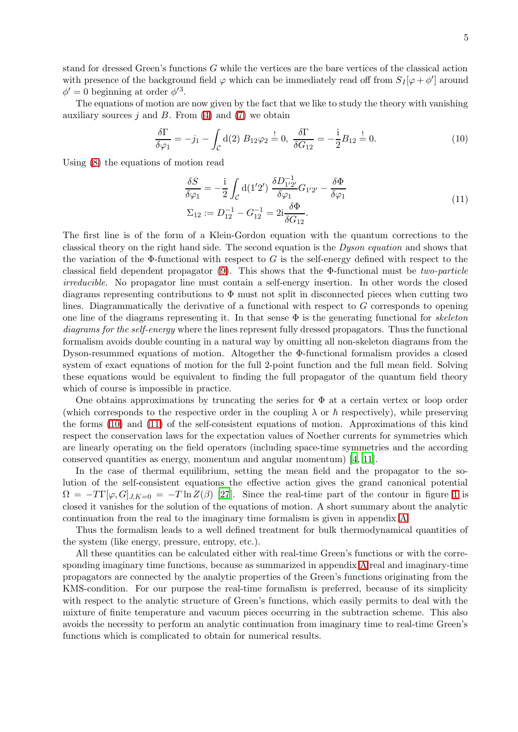stand for dressed Green's functions G while the vertices are the bare vertices of the classical action with presence of the background field  $\varphi$  which can be immediately read off from  $S_I[\varphi + \phi']$  around  $\phi' = 0$  beginning at order  $\phi'^3$ .

The equations of motion are now given by the fact that we like to study the theory with vanishing auxiliary sources j and B. From  $(4)$  and  $(7)$  we obtain

<span id="page-4-1"></span><span id="page-4-0"></span>
$$
\frac{\delta \Gamma}{\delta \varphi_1} = -j_1 - \int_C d(2) B_{12} \varphi_2 \stackrel{!}{=} 0, \ \frac{\delta \Gamma}{\delta G_{12}} = -\frac{i}{2} B_{12} \stackrel{!}{=} 0. \tag{10}
$$

Using [\(8\)](#page-3-0) the equations of motion read

$$
\frac{\delta S}{\delta \varphi_1} = -\frac{i}{2} \int_C d(1'2') \frac{\delta D_{1'2'}^{-1}}{\delta \varphi_1} G_{1'2'} - \frac{\delta \Phi}{\delta \varphi_1} \n\Sigma_{12} := D_{12}^{-1} - G_{12}^{-1} = 2i \frac{\delta \Phi}{\delta G_{12}}.
$$
\n(11)

The first line is of the form of a Klein-Gordon equation with the quantum corrections to the classical theory on the right hand side. The second equation is the Dyson equation and shows that the variation of the Φ-functional with respect to  $G$  is the self-energy defined with respect to the classical field dependent propagator [\(9\)](#page-3-3). This shows that the  $\Phi$ -functional must be *two-particle* irreducible. No propagator line must contain a self-energy insertion. In other words the closed diagrams representing contributions to  $\Phi$  must not split in disconnected pieces when cutting two lines. Diagrammatically the derivative of a functional with respect to G corresponds to opening one line of the diagrams representing it. In that sense  $\Phi$  is the generating functional for skeleton diagrams for the self-energy where the lines represent fully dressed propagators. Thus the functional formalism avoids double counting in a natural way by omitting all non-skeleton diagrams from the Dyson-resummed equations of motion. Altogether the Φ-functional formalism provides a closed system of exact equations of motion for the full 2-point function and the full mean field. Solving these equations would be equivalent to finding the full propagator of the quantum field theory which of course is impossible in practice.

One obtains approximations by truncating the series for  $\Phi$  at a certain vertex or loop order (which corresponds to the respective order in the coupling  $\lambda$  or  $\hbar$  respectively), while preserving the forms [\(10\)](#page-4-0) and [\(11\)](#page-4-1) of the self-consistent equations of motion. Approximations of this kind respect the conservation laws for the expectation values of Noether currents for symmetries which are linearly operating on the field operators (including space-time symmetries and the according conserved quantities as energy, momentum and angular momentum) [\[4](#page-20-3), [11](#page-21-6)].

In the case of thermal equilibrium, setting the mean field and the propagator to the solution of the self-consistent equations the effective action gives the grand canonical potential  $\Omega = -T\Gamma[\varphi, G]_{J,K=0} = -T\ln Z(\beta)$  [\[27](#page-21-22)]. Since the real-time part of the contour in figure [1](#page-2-0) is closed it vanishes for the solution of the equations of motion. A short summary about the analytic continuation from the real to the imaginary time formalism is given in appendix [A.](#page-18-0)

Thus the formalism leads to a well defined treatment for bulk thermodynamical quantities of the system (like energy, pressure, entropy, etc.).

All these quantities can be calculated either with real-time Green's functions or with the corresponding imaginary time functions, because as summarized in appendix [A](#page-18-0) real and imaginary-time propagators are connected by the analytic properties of the Green's functions originating from the KMS-condition. For our purpose the real-time formalism is preferred, because of its simplicity with respect to the analytic structure of Green's functions, which easily permits to deal with the mixture of finite temperature and vacuum pieces occurring in the subtraction scheme. This also avoids the necessity to perform an analytic continuation from imaginary time to real-time Green's functions which is complicated to obtain for numerical results.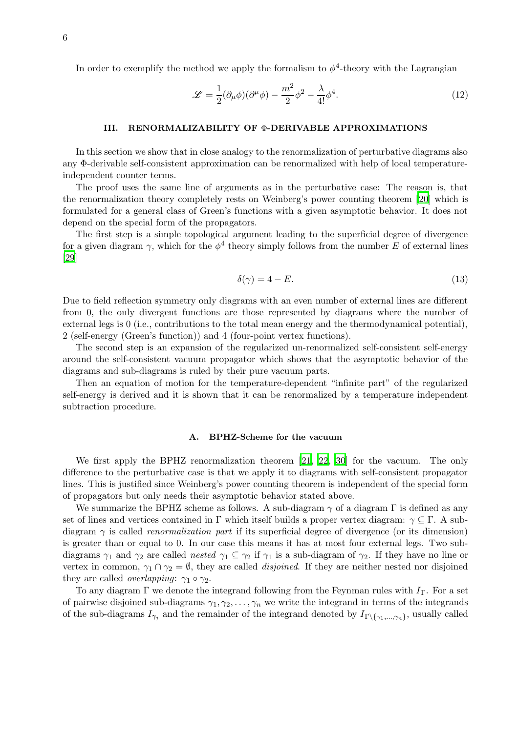In order to exemplify the method we apply the formalism to  $\phi^4$ -theory with the Lagrangian

$$
\mathcal{L} = \frac{1}{2} (\partial_{\mu} \phi)(\partial^{\mu} \phi) - \frac{m^2}{2} \phi^2 - \frac{\lambda}{4!} \phi^4.
$$
 (12)

# III. RENORMALIZABILITY OF Φ-DERIVABLE APPROXIMATIONS

<span id="page-5-0"></span>In this section we show that in close analogy to the renormalization of perturbative diagrams also any Φ-derivable self-consistent approximation can be renormalized with help of local temperatureindependent counter terms.

The proof uses the same line of arguments as in the perturbative case: The reason is, that the renormalization theory completely rests on Weinberg's power counting theorem [\[20](#page-21-15)] which is formulated for a general class of Green's functions with a given asymptotic behavior. It does not depend on the special form of the propagators.

The first step is a simple topological argument leading to the superficial degree of divergence for a given diagram  $\gamma$ , which for the  $\phi^4$  theory simply follows from the number E of external lines [\[29\]](#page-21-24)

$$
\delta(\gamma) = 4 - E. \tag{13}
$$

Due to field reflection symmetry only diagrams with an even number of external lines are different from 0, the only divergent functions are those represented by diagrams where the number of external legs is 0 (i.e., contributions to the total mean energy and the thermodynamical potential), 2 (self-energy (Green's function)) and 4 (four-point vertex functions).

The second step is an expansion of the regularized un-renormalized self-consistent self-energy around the self-consistent vacuum propagator which shows that the asymptotic behavior of the diagrams and sub-diagrams is ruled by their pure vacuum parts.

Then an equation of motion for the temperature-dependent "infinite part" of the regularized self-energy is derived and it is shown that it can be renormalized by a temperature independent subtraction procedure.

#### A. BPHZ-Scheme for the vacuum

We first apply the BPHZ renormalization theorem [\[21](#page-21-16), [22](#page-21-17), [30\]](#page-21-25) for the vacuum. The only difference to the perturbative case is that we apply it to diagrams with self-consistent propagator lines. This is justified since Weinberg's power counting theorem is independent of the special form of propagators but only needs their asymptotic behavior stated above.

We summarize the BPHZ scheme as follows. A sub-diagram  $\gamma$  of a diagram  $\Gamma$  is defined as any set of lines and vertices contained in Γ which itself builds a proper vertex diagram:  $\gamma \subseteq \Gamma$ . A subdiagram  $\gamma$  is called *renormalization part* if its superficial degree of divergence (or its dimension) is greater than or equal to 0. In our case this means it has at most four external legs. Two subdiagrams  $\gamma_1$  and  $\gamma_2$  are called *nested*  $\gamma_1 \subseteq \gamma_2$  if  $\gamma_1$  is a sub-diagram of  $\gamma_2$ . If they have no line or vertex in common,  $\gamma_1 \cap \gamma_2 = \emptyset$ , they are called *disjoined*. If they are neither nested nor disjoined they are called *overlapping*:  $\gamma_1 \circ \gamma_2$ .

To any diagram  $\Gamma$  we denote the integrand following from the Feynman rules with  $I_{\Gamma}$ . For a set of pairwise disjoined sub-diagrams  $\gamma_1, \gamma_2, \ldots, \gamma_n$  we write the integrand in terms of the integrands of the sub-diagrams  $I_{\gamma_j}$  and the remainder of the integrand denoted by  $I_{\Gamma\setminus{\gamma_1,\dots,\gamma_n}}$ , usually called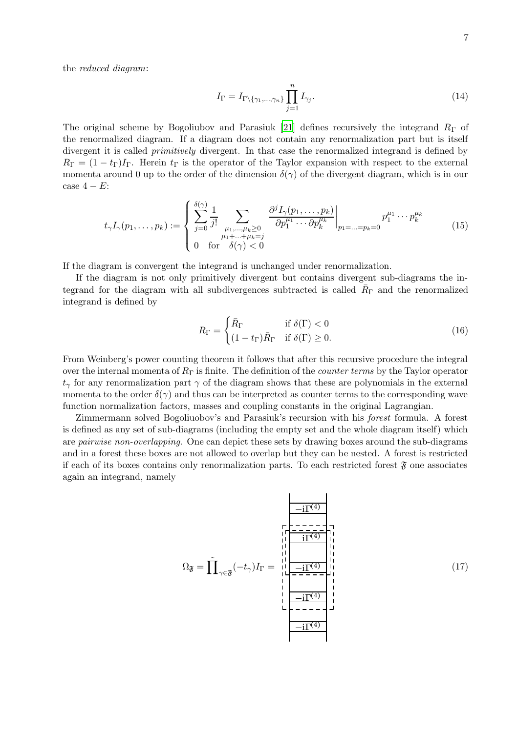the reduced diagram:

$$
I_{\Gamma} = I_{\Gamma \setminus \{\gamma_1, \dots, \gamma_n\}} \prod_{j=1}^n I_{\gamma_j}.
$$
\n(14)

The original scheme by Bogoliubov and Parasiuk [\[21](#page-21-16)] defines recursively the integrand  $R_{\Gamma}$  of the renormalized diagram. If a diagram does not contain any renormalization part but is itself divergent it is called *primitively* divergent. In that case the renormalized integrand is defined by  $R_{\Gamma} = (1 - t_{\Gamma})I_{\Gamma}$ . Herein  $t_{\Gamma}$  is the operator of the Taylor expansion with respect to the external momenta around 0 up to the order of the dimension  $\delta(\gamma)$  of the divergent diagram, which is in our case  $4 - E$ :

$$
t_{\gamma}I_{\gamma}(p_1,\ldots,p_k) := \begin{cases} \sum_{j=0}^{\delta(\gamma)} \frac{1}{j!} \sum_{\substack{\mu_1,\ldots,\mu_k \ge 0 \\ \mu_1 + \ldots + \mu_k = j}} \frac{\partial^j I_{\gamma}(p_1,\ldots,p_k)}{\partial p_1^{\mu_1} \cdots \partial p_k^{\mu_k}} \Big|_{p_1 = \ldots = p_k = 0} p_1^{\mu_1} \cdots p_k^{\mu_k} \\ 0 \quad \text{for} \quad \delta(\gamma) < 0 \end{cases} \tag{15}
$$

If the diagram is convergent the integrand is unchanged under renormalization.

If the diagram is not only primitively divergent but contains divergent sub-diagrams the integrand for the diagram with all subdivergences subtracted is called  $\bar{R}_{\Gamma}$  and the renormalized integrand is defined by

$$
R_{\Gamma} = \begin{cases} \bar{R}_{\Gamma} & \text{if } \delta(\Gamma) < 0\\ (1 - t_{\Gamma})\bar{R}_{\Gamma} & \text{if } \delta(\Gamma) \ge 0. \end{cases}
$$
(16)

From Weinberg's power counting theorem it follows that after this recursive procedure the integral over the internal momenta of  $R_{\Gamma}$  is finite. The definition of the *counter terms* by the Taylor operator  $t_{\gamma}$  for any renormalization part  $\gamma$  of the diagram shows that these are polynomials in the external momenta to the order  $\delta(\gamma)$  and thus can be interpreted as counter terms to the corresponding wave function normalization factors, masses and coupling constants in the original Lagrangian.

<span id="page-6-0"></span>Zimmermann solved Bogoliuobov's and Parasiuk's recursion with his forest formula. A forest is defined as any set of sub-diagrams (including the empty set and the whole diagram itself) which are pairwise non-overlapping. One can depict these sets by drawing boxes around the sub-diagrams and in a forest these boxes are not allowed to overlap but they can be nested. A forest is restricted if each of its boxes contains only renormalization parts. To each restricted forest  $\mathfrak{F}$  one associates again an integrand, namely

$$
\Omega_{\mathfrak{F}} = \tilde{\prod}_{\gamma \in \mathfrak{F}} (-t_{\gamma}) I_{\Gamma} = \prod_{\substack{l=1 \text{odd } l=1 \text{odd } l=1 \text{odd } l=1 \text{odd } l=1 \text{odd } l=1 \text{odd } l=1 \text{odd } l=1 \text{odd } l=1 \text{odd } l=1 \text{odd } l=1 \text{even } l=1 \text{even } l=1 \text{even } l=1 \text{even } l=1 \text{even } l=1 \text{even } l=1 \text{even } l=1 \text{even } l=1 \text{even } l=1 \text{even } l=1 \text{even } l=1 \text{even } l=1 \text{even } l=1 \text{even } l=1 \text{even } l=1 \text{even } l=1 \text{even } l=1 \text{even } l=1 \text{even } l=1 \text{even } l=1 \text{even } l=1 \text{even } l=1 \text{even } l=1 \text{even } l=1 \text{even } l=1 \text{even } l=1 \text{even } l=1 \text{even } l=1 \text{even } l=1 \text{even } l=1 \text{even } l=1 \text{even } l=1 \text{even } l=1 \text{even } l=1 \text{even } l=1 \text{even } l=1 \text{even } l=1 \text{even } l=1 \text{even } l=1 \text{even } l=1 \text{even } l=1 \text{even } l=1 \text{even } l=1 \text{even } l=1 \text{even } l=1 \text{even } l=1 \text{even } l=1 \text{even } l=1 \text{even } l=1 \text{even } l=1 \text{even } l=1 \text{even } l=1 \text{even } l=1 \text{even } l=1 \text{even } l=1 \text{even } l=1 \text{even } l=1 \text{even } l=1 \text{even } l=1 \text{even } l=1 \text{even } l=1 \text{even } l=1 \text{even } l=1 \text{even } l=1 \text{even } l=1 \text{odd } l=1 \text{even } l=1 \text{odd } l=1 \text{even } l=1 \text{odd } l=1 \text{odd } l=1 \text{odd } l=1 \text{odd } l=1 \text{odd } l=1 \text{odd } l=1 \text{odd } l=1 \text{odd } l=1 \text{odd } l=1 \text{odd } l=
$$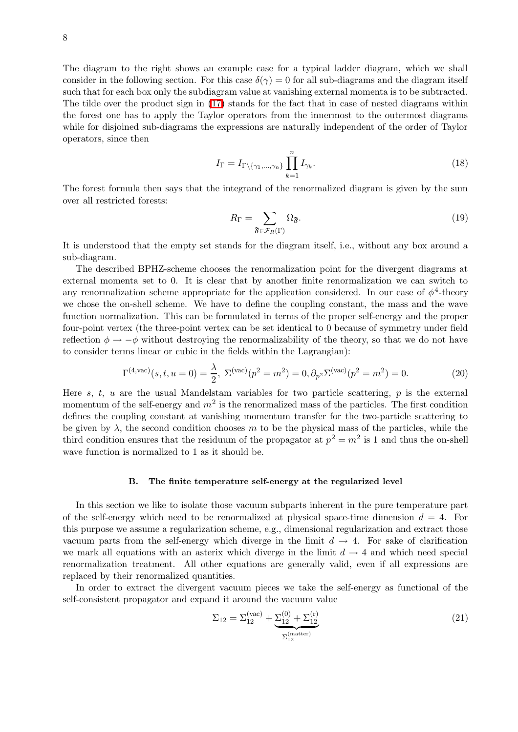The diagram to the right shows an example case for a typical ladder diagram, which we shall consider in the following section. For this case  $\delta(\gamma) = 0$  for all sub-diagrams and the diagram itself such that for each box only the subdiagram value at vanishing external momenta is to be subtracted. The tilde over the product sign in [\(17\)](#page-6-0) stands for the fact that in case of nested diagrams within the forest one has to apply the Taylor operators from the innermost to the outermost diagrams while for disjoined sub-diagrams the expressions are naturally independent of the order of Taylor operators, since then

$$
I_{\Gamma} = I_{\Gamma \setminus \{\gamma_1, \dots, \gamma_n\}} \prod_{k=1}^n I_{\gamma_k}.
$$
\n(18)

The forest formula then says that the integrand of the renormalized diagram is given by the sum over all restricted forests:

<span id="page-7-1"></span>
$$
R_{\Gamma} = \sum_{\mathfrak{F} \in \mathcal{F}_R(\Gamma)} \Omega_{\mathfrak{F}}.\tag{19}
$$

It is understood that the empty set stands for the diagram itself, i.e., without any box around a sub-diagram.

The described BPHZ-scheme chooses the renormalization point for the divergent diagrams at external momenta set to 0. It is clear that by another finite renormalization we can switch to any renormalization scheme appropriate for the application considered. In our case of  $\phi^4$ -theory we chose the on-shell scheme. We have to define the coupling constant, the mass and the wave function normalization. This can be formulated in terms of the proper self-energy and the proper four-point vertex (the three-point vertex can be set identical to 0 because of symmetry under field reflection  $\phi \to -\phi$  without destroying the renormalizability of the theory, so that we do not have to consider terms linear or cubic in the fields within the Lagrangian):

$$
\Gamma^{(4,\text{vac})}(s,t,u=0) = \frac{\lambda}{2}, \ \Sigma^{(\text{vac})}(p^2 = m^2) = 0, \partial_{p^2} \Sigma^{(\text{vac})}(p^2 = m^2) = 0. \tag{20}
$$

Here  $s, t, u$  are the usual Mandelstam variables for two particle scattering,  $p$  is the external momentum of the self-energy and  $m^2$  is the renormalized mass of the particles. The first condition defines the coupling constant at vanishing momentum transfer for the two-particle scattering to be given by  $\lambda$ , the second condition chooses m to be the physical mass of the particles, while the third condition ensures that the residuum of the propagator at  $p^2 = m^2$  is 1 and thus the on-shell wave function is normalized to 1 as it should be.

#### B. The finite temperature self-energy at the regularized level

In this section we like to isolate those vacuum subparts inherent in the pure temperature part of the self-energy which need to be renormalized at physical space-time dimension  $d = 4$ . For this purpose we assume a regularization scheme, e.g., dimensional regularization and extract those vacuum parts from the self-energy which diverge in the limit  $d \rightarrow 4$ . For sake of clarification we mark all equations with an asterix which diverge in the limit  $d \rightarrow 4$  and which need special renormalization treatment. All other equations are generally valid, even if all expressions are replaced by their renormalized quantities.

In order to extract the divergent vacuum pieces we take the self-energy as functional of the self-consistent propagator and expand it around the vacuum value

<span id="page-7-0"></span>
$$
\Sigma_{12} = \Sigma_{12}^{(\text{vac})} + \underbrace{\Sigma_{12}^{(0)} + \Sigma_{12}^{(r)}}_{\Sigma_{12}^{(\text{matter})}}
$$
(21)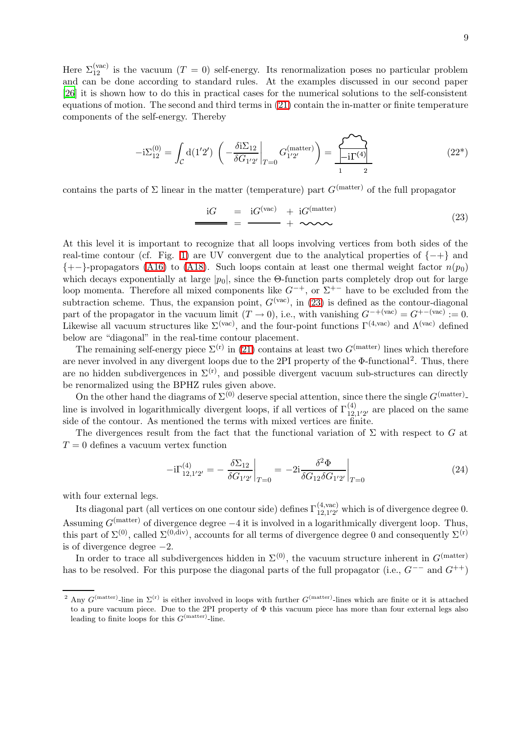Here  $\Sigma_{12}^{(\text{vac})}$  is the vacuum  $(T = 0)$  self-energy. Its renormalization poses no particular problem and can be done according to standard rules. At the examples discussed in our second paper [\[26\]](#page-21-21) it is shown how to do this in practical cases for the numerical solutions to the self-consistent equations of motion. The second and third terms in [\(21\)](#page-7-0) contain the in-matter or finite temperature components of the self-energy. Thereby

$$
-i\Sigma_{12}^{(0)} = \int_{\mathcal{C}} d(1'2') \left( -\frac{\delta i \Sigma_{12}}{\delta G_{1'2'}} \bigg|_{T=0} G_{1'2'}^{(\text{matter})} \right) = \frac{\sum_{i=1}^{N} \sum_{j=1}^{N} G_{1j}}{1 - i \sum_{j=1}^{N} G_{1j}^{(\text{a})}} \tag{22*}
$$

contains the parts of  $\Sigma$  linear in the matter (temperature) part  $G<sup>(matter)</sup>$  of the full propagator

$$
\frac{\mathrm{i}G}{\mathrm{ii}G} = \frac{\mathrm{i}G^{(\text{vac})}}{1} + \frac{\mathrm{i}G^{(\text{matter})}}{1} \tag{23}
$$

At this level it is important to recognize that all loops involving vertices from both sides of the real-time contour (cf. Fig. [1\)](#page-2-0) are UV convergent due to the analytical properties of  $\{-+\}$  and  ${+-\}$ -propagators [\(A16\)](#page-19-0) to [\(A18\)](#page-19-1). Such loops contain at least one thermal weight factor  $n(p_0)$ which decays exponentially at large  $|p_0|$ , since the Θ-function parts completely drop out for large loop momenta. Therefore all mixed components like  $G^{-+}$ , or  $\Sigma^{+-}$  have to be excluded from the subtraction scheme. Thus, the expansion point,  $G^{(\text{vac})}$ , in [\(23\)](#page-8-0) is defined as the contour-diagonal part of the propagator in the vacuum limit  $(T \to 0)$ , i.e., with vanishing  $G^{-+(\text{vac})} = G^{+-(\text{vac})} := 0$ . Likewise all vacuum structures like  $\Sigma^{(\text{vac})}$ , and the four-point functions  $\Gamma^{(4,\text{vac})}$  and  $\Lambda^{(\text{vac})}$  defined below are "diagonal" in the real-time contour placement.

The remaining self-energy piece  $\Sigma^{(r)}$  in [\(21\)](#page-7-0) contains at least two  $G<sup>(matter)</sup>$  lines which therefore are never involved in any divergent loops due to the 2PI property of the Φ-functional<sup>2</sup>. Thus, there are no hidden subdivergences in  $\Sigma^{(r)}$ , and possible divergent vacuum sub-structures can directly be renormalized using the BPHZ rules given above.

On the other hand the diagrams of  $\Sigma^{(0)}$  deserve special attention, since there the single  $G^{\text{(matter)}}$ line is involved in logarithmically divergent loops, if all vertices of  $\Gamma_{12}^{(4)}$  $_{12,1'2'}^{(4)}$  are placed on the same side of the contour. As mentioned the terms with mixed vertices are finite.

The divergences result from the fact that the functional variation of  $\Sigma$  with respect to G at  $T = 0$  defines a vacuum vertex function

<span id="page-8-1"></span>
$$
-i\Gamma_{12,1'2'}^{(4)} = -\left. \frac{\delta \Sigma_{12}}{\delta G_{1'2'}} \right|_{T=0} = -2i \frac{\delta^2 \Phi}{\delta G_{12} \delta G_{1'2'}} \bigg|_{T=0} \tag{24}
$$

with four external legs.

Its diagonal part (all vertices on one contour side) defines  $\Gamma^{(4,\text{vac})}_{12,12'}$  $_{12,1'2'}^{(4,\text{vac})}$  which is of divergence degree 0. Assuming  $G<sup>(matter)</sup>$  of divergence degree  $-4$  it is involved in a logarithmically divergent loop. Thus, this part of  $\Sigma^{(0)}$ , called  $\Sigma^{(0,\text{div})}$ , accounts for all terms of divergence degree 0 and consequently  $\Sigma^{(r)}$ is of divergence degree  $-2$ .

In order to trace all subdivergences hidden in  $\Sigma^{(0)}$ , the vacuum structure inherent in  $G<sup>(matter)</sup>$ has to be resolved. For this purpose the diagonal parts of the full propagator (i.e.,  $G^{--}$  and  $G^{++}$ )

<span id="page-8-0"></span><sup>&</sup>lt;sup>2</sup> Any  $G^{(\text{matter})}$ -line in  $\Sigma^{(r)}$  is either involved in loops with further  $G^{(\text{matter})}$ -lines which are finite or it is attached to a pure vacuum piece. Due to the 2PI property of Φ this vacuum piece has more than four external legs also leading to finite loops for this  $G<sup>(matter)</sup>$ -line.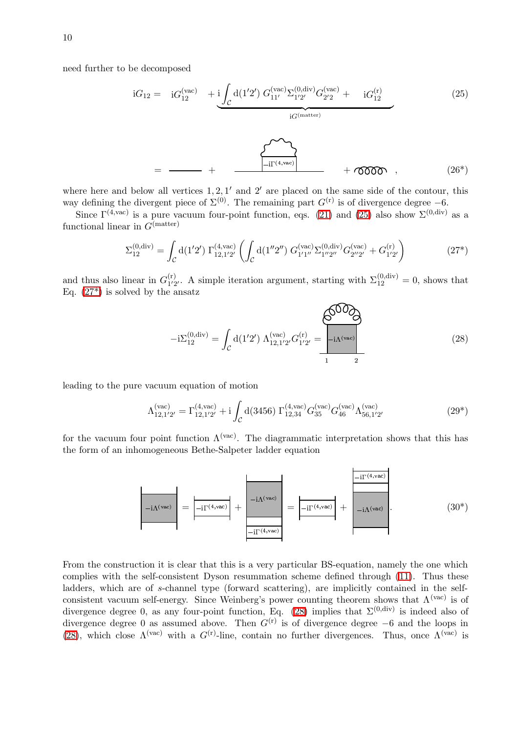need further to be decomposed

<span id="page-9-0"></span>
$$
iG_{12} = iG_{12}^{(vac)} + i \underbrace{\int_{\mathcal{C}} d(1'2') G_{11'}^{(vac)} \Sigma_{1'2'}^{(0,div)} G_{2'2}^{(vac)}}_{iG^{(matter)}}
$$
(25)  

$$
= \underbrace{\qquad \qquad}_{= \qquad \qquad \qquad + \qquad \qquad \qquad}_{\qquad \qquad \qquad \qquad \qquad}_{\text{iG}^{(matter)}} + \underbrace{\qquad \qquad}_{\text{0000}} \qquad , \qquad (26*)
$$

where here and below all vertices  $1, 2, 1'$  and  $2'$  are placed on the same side of the contour, this way defining the divergent piece of  $\Sigma^{(0)}$ . The remaining part  $G^{(r)}$  is of divergence degree -6.

Since  $\Gamma^{(4,\text{vac})}$  is a pure vacuum four-point function, eqs. [\(21\)](#page-7-0) and [\(25\)](#page-9-0) also show  $\Sigma^{(0,\text{div})}$  as a functional linear in  $G<sup>(matter)</sup>$ 

<span id="page-9-2"></span><span id="page-9-1"></span>
$$
\Sigma_{12}^{(0,\text{div})} = \int_{\mathcal{C}} d(1'2') \ \Gamma_{12,1'2'}^{(4,\text{vac})} \left( \int_{\mathcal{C}} d(1''2'') G_{1'1''}^{(\text{vac})} \Sigma_{1''2''}^{(0,\text{div})} G_{2''2'}^{(\text{vac})} + G_{1'2'}^{(r)} \right) \tag{27*}
$$

and thus also linear in  $G_{1/2}^{(r)}$ <sup>(r)</sup><sub>1/2</sub>. A simple iteration argument, starting with  $\Sigma_{12}^{(0,\text{div})} = 0$ , shows that Eq.  $(27^*)$  is solved by the ansatz

$$
-i\Sigma_{12}^{(0,\text{div})} = \int_{\mathcal{C}} d(1'2') \Lambda_{12,1'2'}^{(\text{vac})} G_{1'2'}^{(r)} = \boxed{-i\Lambda^{(\text{vac})}}
$$
(28)

leading to the pure vacuum equation of motion

<span id="page-9-3"></span>
$$
\Lambda_{12,1'2'}^{(\text{vac})} = \Gamma_{12,1'2'}^{(4,\text{vac})} + i \int_{\mathcal{C}} d(3456) \ \Gamma_{12,34}^{(4,\text{vac})} G_{35}^{(\text{vac})} G_{46}^{(\text{vac})} \Lambda_{56,1'2'}^{(\text{vac})} \tag{29*}
$$

for the vacuum four point function  $\Lambda^{(\text{vac})}$ . The diagrammatic interpretation shows that this has the form of an inhomogeneous Bethe-Salpeter ladder equation



From the construction it is clear that this is a very particular BS-equation, namely the one which complies with the self-consistent Dyson resummation scheme defined through [\(11\)](#page-4-1). Thus these ladders, which are of s-channel type (forward scattering), are implicitly contained in the selfconsistent vacuum self-energy. Since Weinberg's power counting theorem shows that  $\Lambda^{(vac)}$  is of divergence degree 0, as any four-point function, Eq. [\(28\)](#page-9-2) implies that  $\Sigma^{(0,\text{div})}$  is indeed also of divergence degree 0 as assumed above. Then  $G^{(r)}$  is of divergence degree −6 and the loops in [\(28\)](#page-9-2), which close  $\Lambda^{(vac)}$  with a  $G^{(r)}$ -line, contain no further divergences. Thus, once  $\Lambda^{(vac)}$  is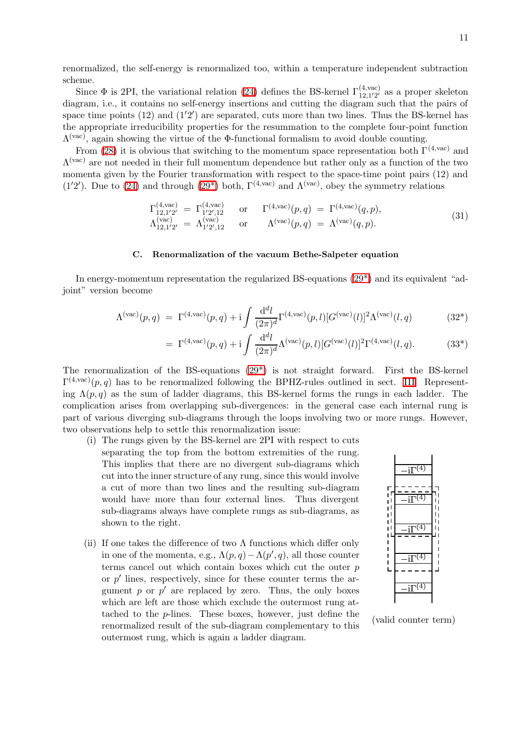renormalized, the self-energy is renormalized too, within a temperature independent subtraction scheme.

Since  $\Phi$  is 2PI, the variational relation [\(24\)](#page-8-1) defines the BS-kernel  $\Gamma^{(4,\text{vac})}_{12,1/2'}$  $_{12,1^{\prime}2^{\prime}}^{(4,\text{vac})}$  as a proper skeleton diagram, i.e., it contains no self-energy insertions and cutting the diagram such that the pairs of space time points  $(12)$  and  $(1'2')$  are separated, cuts more than two lines. Thus the BS-kernel has the appropriate irreducibility properties for the resummation to the complete four-point function  $\Lambda^{(vac)}$ , again showing the virtue of the Φ-functional formalism to avoid double counting.

From [\(28\)](#page-9-2) it is obvious that switching to the momentum space representation both  $\Gamma^{(4,\text{vac})}$  and  $\Lambda^{(vac)}$  are not needed in their full momentum dependence but rather only as a function of the two momenta given by the Fourier transformation with respect to the space-time point pairs (12) and (1'2'). Due to [\(24\)](#page-8-1) and through (29<sup>\*</sup>) both,  $\Gamma^{(4,\text{vac})}$  and  $\Lambda^{(\text{vac})}$ , obey the symmetry relations

$$
\Gamma_{12,1'2'}^{(4,\text{vac})} = \Gamma_{1'2',12}^{(4,\text{vac})} \quad \text{or} \quad \Gamma_{4,\text{vac}}^{(4,\text{vac})}(p,q) = \Gamma_{4,\text{vac}}^{(4,\text{vac})}(q,p), \n\Lambda_{12,1'2'}^{(\text{vac})} = \Lambda_{1'2',12}^{(\text{vac})} \quad \text{or} \quad \Lambda^{(\text{vac})}(p,q) = \Lambda^{(\text{vac})}(q,p).
$$
\n(31)

# C. Renormalization of the vacuum Bethe-Salpeter equation

In energy-momentum representation the regularized BS-equations [\(29\\*\)](#page-9-3) and its equivalent "adjoint" version become

$$
\Lambda^{(\text{vac})}(p,q) = \Gamma^{(4,\text{vac})}(p,q) + i \int \frac{d^d l}{(2\pi)^d} \Gamma^{(4,\text{vac})}(p,l) [G^{(\text{vac})}(l)]^2 \Lambda^{(\text{vac})}(l,q) \tag{32*}
$$

$$
= \Gamma^{(4,\text{vac})}(p,q) + i \int \frac{d^d l}{(2\pi)^d} \Lambda^{(\text{vac})}(p,l) [G^{(\text{vac})}(l)]^2 \Gamma^{(4,\text{vac})}(l,q). \tag{33*}
$$

The renormalization of the BS-equations [\(29\\*\)](#page-9-3) is not straight forward. First the BS-kernel  $\Gamma^{(4,\text{vac})}(p,q)$  has to be renormalized following the BPHZ-rules outlined in sect. [III.](#page-5-0) Representing  $\Lambda(p,q)$  as the sum of ladder diagrams, this BS-kernel forms the rungs in each ladder. The complication arises from overlapping sub-divergences: in the general case each internal rung is part of various diverging sub-diagrams through the loops involving two or more rungs. However, two observations help to settle this renormalization issue:

- (i) The rungs given by the BS-kernel are 2PI with respect to cuts separating the top from the bottom extremities of the rung. This implies that there are no divergent sub-diagrams which cut into the inner structure of any rung, since this would involve a cut of more than two lines and the resulting sub-diagram would have more than four external lines. Thus divergent sub-diagrams always have complete rungs as sub-diagrams, as shown to the right.
- (ii) If one takes the difference of two  $\Lambda$  functions which differ only in one of the momenta, e.g.,  $\Lambda(p,q) - \Lambda(p',q)$ , all those counter terms cancel out which contain boxes which cut the outer  $p$ or  $p'$  lines, respectively, since for these counter terms the argument  $p$  or  $p'$  are replaced by zero. Thus, the only boxes which are left are those which exclude the outermost rung attached to the p-lines. These boxes, however, just define the renormalized result of the sub-diagram complementary to this outermost rung, which is again a ladder diagram.



(valid counter term)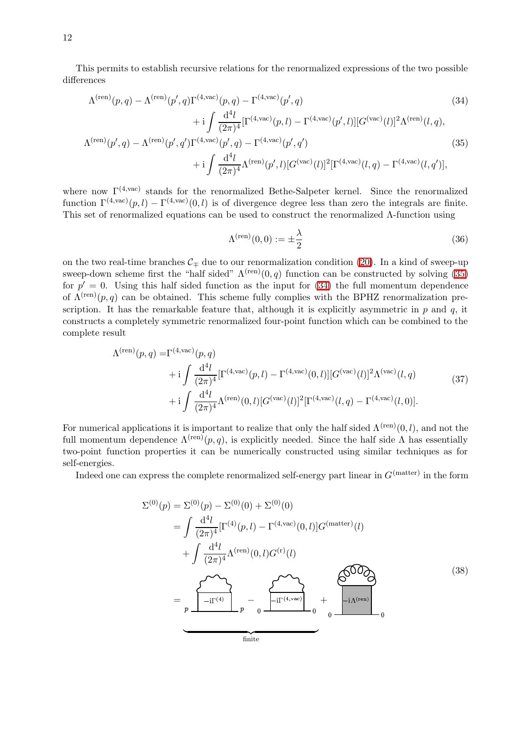This permits to establish recursive relations for the renormalized expressions of the two possible differences

$$
\Lambda^{(\text{ren})}(p,q) - \Lambda^{(\text{ren})}(p',q)\Gamma^{(4,\text{vac})}(p,q) - \Gamma^{(4,\text{vac})}(p',q) \n+ i \int \frac{d^4l}{(2\pi)^4} [\Gamma^{(4,\text{vac})}(p,l) - \Gamma^{(4,\text{vac})}(p',l)][G^{(\text{vac})}(l)]^2 \Lambda^{(\text{ren})}(l,q),
$$
\n(34)

$$
\Lambda^{(\text{ren})}(p',q) - \Lambda^{(\text{ren})}(p',q')\Gamma^{(4,\text{vac})}(p',q) - \Gamma^{(4,\text{vac})}(p',q') + \mathrm{i} \int \frac{\mathrm{d}^4 l}{(2\pi)^4} \Lambda^{(\text{ren})}(p',l) [G^{(\text{vac})}(l)]^2 [\Gamma^{(4,\text{vac})}(l,q) - \Gamma^{(4,\text{vac})}(l,q')],
$$
\n(35)

where now  $\Gamma^{(4,\text{vac})}$  stands for the renormalized Bethe-Salpeter kernel. Since the renormalized function  $\Gamma^{(4,\text{vac})}(p,l) - \Gamma^{(4,\text{vac})}(0,l)$  is of divergence degree less than zero the integrals are finite. This set of renormalized equations can be used to construct the renormalized Λ-function using

<span id="page-11-1"></span><span id="page-11-0"></span>
$$
\Lambda^{(\text{ren})}(0,0) := \pm \frac{\lambda}{2} \tag{36}
$$

on the two real-time branches  $\mathcal{C}_\pm$  due to our renormalization condition [\(20\)](#page-7-1). In a kind of sweep-up sweep-down scheme first the "half sided"  $\Lambda^{(ren)}(0,q)$  function can be constructed by solving [\(35\)](#page-11-0) for  $p' = 0$ . Using this half sided function as the input for [\(34\)](#page-11-1) the full momentum dependence of  $\Lambda^{(ren)}(p,q)$  can be obtained. This scheme fully complies with the BPHZ renormalization prescription. It has the remarkable feature that, although it is explicitly asymmetric in  $p$  and  $q$ , it constructs a completely symmetric renormalized four-point function which can be combined to the complete result

$$
\Lambda^{(\text{ren})}(p,q) = \Gamma^{(4,\text{vac})}(p,q) \n+ i \int \frac{d^4l}{(2\pi)^4} [\Gamma^{(4,\text{vac})}(p,l) - \Gamma^{(4,\text{vac})}(0,l)][G^{(\text{vac})}(l)]^2 \Lambda^{(\text{vac})}(l,q) \n+ i \int \frac{d^4l}{(2\pi)^4} \Lambda^{(\text{ren})}(0,l)[G^{(\text{vac})}(l)]^2 [\Gamma^{(4,\text{vac})}(l,q) - \Gamma^{(4,\text{vac})}(l,0)].
$$
\n(37)

For numerical applications it is important to realize that only the half sided  $\Lambda^{(ren)}(0, l)$ , and not the full momentum dependence  $\Lambda^{(ren)}(p,q)$ , is explicitly needed. Since the half side  $\Lambda$  has essentially two-point function properties it can be numerically constructed using similar techniques as for self-energies.

Indeed one can express the complete renormalized self-energy part linear in  $G<sup>(matter)</sup>$  in the form

$$
\Sigma^{(0)}(p) = \Sigma^{(0)}(p) - \Sigma^{(0)}(0) + \Sigma^{(0)}(0)
$$
  
\n
$$
= \int \frac{d^4l}{(2\pi)^4} [\Gamma^{(4)}(p, l) - \Gamma^{(4, \text{vac})}(0, l)] G^{(\text{matter})}(l)
$$
  
\n
$$
+ \int \frac{d^4l}{(2\pi)^4} \Lambda^{(\text{ren})}(0, l) G^{(\text{r})}(l)
$$
  
\n
$$
= \int \Lambda^{(\text{ren})} \left[ \frac{d^4l}{(2\pi)^4} \right]_{p} - \int \Lambda^{(\text{ren})} \left[ \frac{d^4l}{(2\pi)^4} \right]_{0} + \int \Lambda^{(\text{ren})} \left[ \frac{d^4l}{(2\pi)^4} \right]_{0} + \int \Lambda^{(\text{ren})} \left[ \frac{d^4l}{(2\pi)^4} \right]_{0} + \int \Lambda^{(\text{ren})} \left[ \frac{d^4l}{(2\pi)^4} \right]_{0} + \int \Lambda^{(\text{ren})} \left[ \frac{d^4l}{(2\pi)^4} \right]_{0} + \int \Lambda^{(\text{ren})} \left[ \frac{d^4l}{(2\pi)^4} \right]_{0} + \int \Lambda^{(\text{ren})} \left[ \frac{d^4l}{(2\pi)^4} \right]_{0} + \int \Lambda^{(\text{ren})} \left[ \frac{d^4l}{(2\pi)^4} \right]_{0} + \int \Lambda^{(\text{ren})} \left[ \frac{d^4l}{(2\pi)^4} \right]_{0} + \int \Lambda^{(\text{ren})} \left[ \frac{d^4l}{(2\pi)^4} \right]_{0} + \int \Lambda^{(\text{ren})} \left[ \frac{d^4l}{(2\pi)^4} \right]_{0} + \int \Lambda^{(\text{ren})} \left[ \frac{d^4l}{(2\pi)^4} \right]_{0} + \int \Lambda^{(\text{ren})} \left[ \frac{d^4l}{(2\pi)^4} \right]_{0} + \int \Lambda^{(\text{ren})} \left[ \frac{d^4l}{(2\pi)^4} \right]_{0} + \int \Lambda^{(\text{ren})} \left[ \frac{d^4l}{(2\pi)^4} \right]_{0} + \int \Lambda^{(\text{ren})} \left[
$$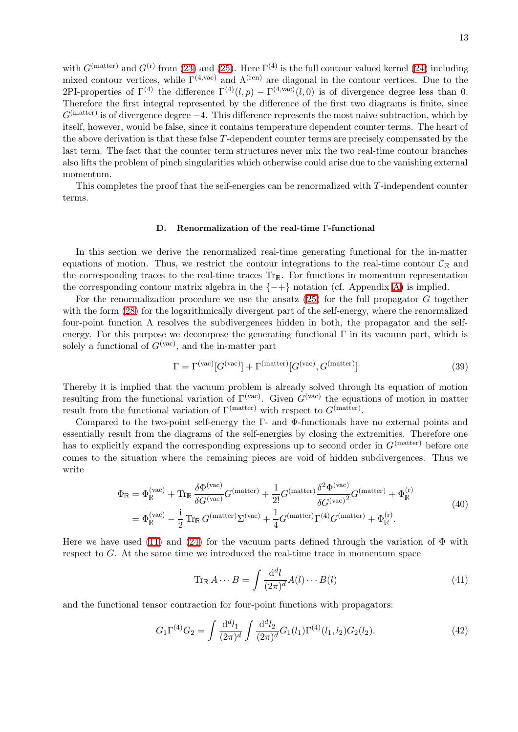with  $G^{(\text{matter})}$  and  $G^{(r)}$  from [\(23\)](#page-8-0) and [\(25\)](#page-9-0). Here  $\Gamma^{(4)}$  is the full contour valued kernel [\(24\)](#page-8-1) including mixed contour vertices, while  $\Gamma^{(4,\text{vac})}$  and  $\Lambda^{(\text{ren})}$  are diagonal in the contour vertices. Due to the 2PI-properties of  $\Gamma^{(4)}$  the difference  $\Gamma^{(4)}(l,p) - \Gamma^{(4,\text{vac})}(l,0)$  is of divergence degree less than 0. Therefore the first integral represented by the difference of the first two diagrams is finite, since  $G<sup>(matter)</sup>$  is of divergence degree  $-4$ . This difference represents the most naive subtraction, which by itself, however, would be false, since it contains temperature dependent counter terms. The heart of the above derivation is that these false T-dependent counter terms are precisely compensated by the last term. The fact that the counter term structures never mix the two real-time contour branches also lifts the problem of pinch singularities which otherwise could arise due to the vanishing external momentum.

<span id="page-12-0"></span>This completes the proof that the self-energies can be renormalized with T-independent counter terms.

#### D. Renormalization of the real-time Γ-functional

In this section we derive the renormalized real-time generating functional for the in-matter equations of motion. Thus, we restrict the contour integrations to the real-time contour  $\mathcal{C}_{\mathbb{R}}$  and the corresponding traces to the real-time traces  $\text{Tr}_{\mathbb{R}}$ . For functions in momentum representation the corresponding contour matrix algebra in the  $\{-+\}$  notation (cf. Appendix [A\)](#page-18-0) is implied.

For the renormalization procedure we use the ansatz  $(25)$  for the full propagator G together with the form [\(28\)](#page-9-2) for the logarithmically divergent part of the self-energy, where the renormalized four-point function  $\Lambda$  resolves the subdivergences hidden in both, the propagator and the selfenergy. For this purpose we decompose the generating functional  $\Gamma$  in its vacuum part, which is solely a functional of  $G^{(\text{vac})}$ , and the in-matter part

$$
\Gamma = \Gamma^{\text{(vac)}}[G^{\text{(vac)}}] + \Gamma^{\text{(matter)}}[G^{\text{(vac)}}, G^{\text{(matter)}}]
$$
\n(39)

Thereby it is implied that the vacuum problem is already solved through its equation of motion resulting from the functional variation of  $\Gamma^{(vac)}$ . Given  $G^{(vac)}$  the equations of motion in matter result from the functional variation of  $\Gamma^{(\text{matter})}$  with respect to  $G^{(\text{matter})}$ .

Compared to the two-point self-energy the Γ- and Φ-functionals have no external points and essentially result from the diagrams of the self-energies by closing the extremities. Therefore one has to explicitly expand the corresponding expressions up to second order in  $G<sup>(matter)</sup>$  before one comes to the situation where the remaining pieces are void of hidden subdivergences. Thus we write

$$
\Phi_{\mathbb{R}} = \Phi_{\mathbb{R}}^{(\text{vac})} + \text{Tr}_{\mathbb{R}} \frac{\delta \Phi^{(\text{vac})}}{\delta G^{(\text{vac})}} G^{(\text{matter})} + \frac{1}{2!} G^{(\text{matter})} \frac{\delta^2 \Phi^{(\text{vac})}}{\delta G^{(\text{vac})^2}} G^{(\text{matter})} + \Phi_{\mathbb{R}}^{(\text{r})}
$$
\n
$$
= \Phi_{\mathbb{R}}^{(\text{vac})} - \frac{i}{2} \text{Tr}_{\mathbb{R}} G^{(\text{matter})} \Sigma^{(\text{vac})} + \frac{1}{4} G^{(\text{matter})} \Gamma^{(4)} G^{(\text{matter})} + \Phi_{\mathbb{R}}^{(\text{r})}.
$$
\n(40)

Here we have used [\(11\)](#page-4-1) and [\(24\)](#page-8-1) for the vacuum parts defined through the variation of  $\Phi$  with respect to G. At the same time we introduced the real-time trace in momentum space

$$
\operatorname{Tr}_{\mathbb{R}} A \cdots B = \int \frac{\mathrm{d}^d l}{(2\pi)^d} A(l) \cdots B(l) \tag{41}
$$

and the functional tensor contraction for four-point functions with propagators:

$$
G_1 \Gamma^{(4)} G_2 = \int \frac{\mathrm{d}^d l_1}{(2\pi)^d} \int \frac{\mathrm{d}^d l_2}{(2\pi)^d} G_1(l_1) \Gamma^{(4)}(l_1, l_2) G_2(l_2). \tag{42}
$$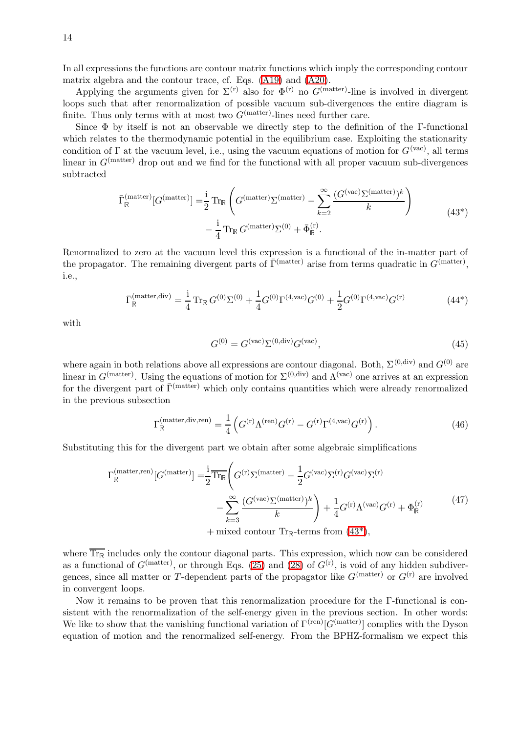14

In all expressions the functions are contour matrix functions which imply the corresponding contour matrix algebra and the contour trace, cf. Eqs. [\(A19\)](#page-20-4) and [\(A20\)](#page-20-5).

Applying the arguments given for  $\Sigma^{(r)}$  also for  $\Phi^{(r)}$  no  $G^{(matter)}$ -line is involved in divergent loops such that after renormalization of possible vacuum sub-divergences the entire diagram is finite. Thus only terms with at most two  $G<sup>(matter)</sup>$ -lines need further care.

<span id="page-13-0"></span>Since Φ by itself is not an observable we directly step to the definition of the Γ-functional which relates to the thermodynamic potential in the equilibrium case. Exploiting the stationarity condition of  $\Gamma$  at the vacuum level, i.e., using the vacuum equations of motion for  $G^{(\text{vac})}$ , all terms linear in  $G<sup>(matter)</sup>$  drop out and we find for the functional with all proper vacuum sub-divergences subtracted

$$
\bar{\Gamma}_{\mathbb{R}}^{(\text{matter})}[G^{(\text{matter})}] = \frac{i}{2} \operatorname{Tr}_{\mathbb{R}} \left( G^{(\text{matter})} \Sigma^{(\text{matter})} - \sum_{k=2}^{\infty} \frac{(G^{(\text{vac})} \Sigma^{(\text{matter})})^k}{k} \right)
$$
\n
$$
- \frac{i}{4} \operatorname{Tr}_{\mathbb{R}} G^{(\text{matter})} \Sigma^{(0)} + \bar{\Phi}_{\mathbb{R}}^{(\text{r})}.
$$
\n(43\*)

Renormalized to zero at the vacuum level this expression is a functional of the in-matter part of the propagator. The remaining divergent parts of  $\bar{\Gamma}^{(\text{matter})}$  arise from terms quadratic in  $G^{(\text{matter})}$ , i.e.,

$$
\bar{\Gamma}_{\mathbb{R}}^{(\text{matter}, \text{div})} = \frac{1}{4} \operatorname{Tr}_{\mathbb{R}} G^{(0)} \Sigma^{(0)} + \frac{1}{4} G^{(0)} \Gamma^{(4, \text{vac})} G^{(0)} + \frac{1}{2} G^{(0)} \Gamma^{(4, \text{vac})} G^{(r)} \tag{44*}
$$

with

<span id="page-13-1"></span>
$$
G^{(0)} = G(vac) \Sigma(0,div) G(vac),
$$
\n(45)

where again in both relations above all expressions are contour diagonal. Both,  $\Sigma^{(0,\text{div})}$  and  $G^{(0)}$  are linear in  $G<sup>(matter)</sup>$ . Using the equations of motion for  $\Sigma<sup>(0, div)</sup>$  and  $\Lambda<sup>(vac)</sup>$  one arrives at an expression for the divergent part of  $\overline{\Gamma}^{\text{(matter)}}$  which only contains quantities which were already renormalized in the previous subsection

$$
\Gamma_{\mathbb{R}}^{(\text{matter}, \text{div}, \text{ren})} = \frac{1}{4} \left( G^{(\text{r})} \Lambda^{(\text{ren})} G^{(\text{r})} - G^{(\text{r})} \Gamma^{(4, \text{vac})} G^{(\text{r})} \right). \tag{46}
$$

Substituting this for the divergent part we obtain after some algebraic simplifications

$$
\Gamma_{\mathbb{R}}^{(\text{matter,ren})}[G^{(\text{matter})}] = \frac{i}{2} \overline{\text{Tr}_{\mathbb{R}}} \left( G^{(\text{r})} \Sigma^{(\text{matter})} - \frac{1}{2} G^{(\text{vac})} \Sigma^{(\text{r})} G^{(\text{vac})} \Sigma^{(\text{r})} - \sum_{k=3}^{\infty} \frac{(G^{(\text{vac})} \Sigma^{(\text{matter})})^k}{k} \right) + \frac{1}{4} G^{(\text{r})} \Lambda^{(\text{vac})} G^{(\text{r})} + \Phi_{\mathbb{R}}^{(\text{r})}
$$
(47)

 $+$  mixed contour Tr<sub>R</sub>-terms from  $(43^*),$ 

where  $\text{Tr}_{\mathbb{R}}$  includes only the contour diagonal parts. This expression, which now can be considered as a functional of  $G<sup>(matter)</sup>$ , or through Eqs. [\(25\)](#page-9-0) and [\(28\)](#page-9-2) of  $G<sup>(r)</sup>$ , is void of any hidden subdivergences, since all matter or T-dependent parts of the propagator like  $G<sup>(matter)</sup>$  or  $G<sup>(r)</sup>$  are involved in convergent loops.

Now it remains to be proven that this renormalization procedure for the Γ-functional is consistent with the renormalization of the self-energy given in the previous section. In other words: We like to show that the vanishing functional variation of  $\Gamma^{(ren)}[G^{(matter)}]$  complies with the Dyson equation of motion and the renormalized self-energy. From the BPHZ-formalism we expect this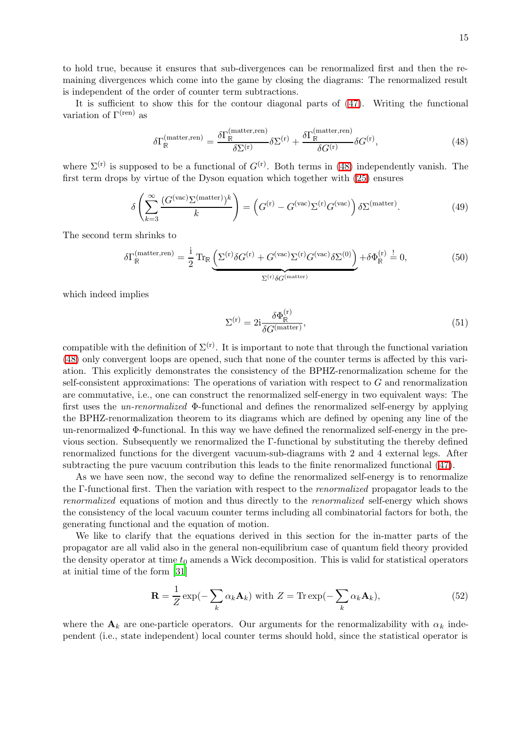to hold true, because it ensures that sub-divergences can be renormalized first and then the remaining divergences which come into the game by closing the diagrams: The renormalized result is independent of the order of counter term subtractions.

<span id="page-14-0"></span>It is sufficient to show this for the contour diagonal parts of [\(47\)](#page-13-1). Writing the functional variation of  $\Gamma^{(ren)}$  as

$$
\delta\Gamma_{\mathbb{R}}^{(\text{matter,ren})} = \frac{\delta\Gamma_{\mathbb{R}}^{(\text{matter,ren})}}{\delta\Sigma^{(\text{r})}} \delta\Sigma^{(\text{r})} + \frac{\delta\Gamma_{\mathbb{R}}^{(\text{matter,ren})}}{\delta G^{(\text{r})}} \delta G^{(\text{r})},\tag{48}
$$

where  $\Sigma^{(r)}$  is supposed to be a functional of  $G^{(r)}$ . Both terms in [\(48\)](#page-14-0) independently vanish. The first term drops by virtue of the Dyson equation which together with [\(25\)](#page-9-0) ensures

$$
\delta \left( \sum_{k=3}^{\infty} \frac{(G^{(\text{vac})} \Sigma^{(\text{matter})})^k}{k} \right) = \left( G^{(\text{r})} - G^{(\text{vac})} \Sigma^{(\text{r})} G^{(\text{vac})} \right) \delta \Sigma^{(\text{matter})}.
$$
 (49)

The second term shrinks to

$$
\delta\Gamma_{\mathbb{R}}^{(\text{matter,ren})} = \frac{i}{2} \operatorname{Tr}_{\mathbb{R}} \underbrace{\left(\Sigma^{(\text{r})} \delta G^{(\text{r})} + G^{(\text{vac})} \Sigma^{(\text{r})} G^{(\text{vac})} \delta \Sigma^{(0)}\right)}_{\Sigma^{(\text{r})} \delta G^{(\text{matter})}} + \delta\Phi_{\mathbb{R}}^{(\text{r})} \stackrel{!}{=} 0,
$$
\n(50)

which indeed implies

$$
\Sigma^{(r)} = 2i \frac{\delta \Phi_{\mathbb{R}}^{(r)}}{\delta G^{(matter)}},\tag{51}
$$

compatible with the definition of  $\Sigma^{(r)}$ . It is important to note that through the functional variation [\(48\)](#page-14-0) only convergent loops are opened, such that none of the counter terms is affected by this variation. This explicitly demonstrates the consistency of the BPHZ-renormalization scheme for the self-consistent approximations: The operations of variation with respect to  $G$  and renormalization are commutative, i.e., one can construct the renormalized self-energy in two equivalent ways: The first uses the un-renormalized Φ-functional and defines the renormalized self-energy by applying the BPHZ-renormalization theorem to its diagrams which are defined by opening any line of the un-renormalized Φ-functional. In this way we have defined the renormalized self-energy in the previous section. Subsequently we renormalized the Γ-functional by substituting the thereby defined renormalized functions for the divergent vacuum-sub-diagrams with 2 and 4 external legs. After subtracting the pure vacuum contribution this leads to the finite renormalized functional ([47\)](#page-13-1).

As we have seen now, the second way to define the renormalized self-energy is to renormalize the Γ-functional first. Then the variation with respect to the renormalized propagator leads to the renormalized equations of motion and thus directly to the renormalized self-energy which shows the consistency of the local vacuum counter terms including all combinatorial factors for both, the generating functional and the equation of motion.

We like to clarify that the equations derived in this section for the in-matter parts of the propagator are all valid also in the general non-equilibrium case of quantum field theory provided the density operator at time  $t_0$  amends a Wick decomposition. This is valid for statistical operators at initial time of the form [\[31\]](#page-21-26)

$$
\mathbf{R} = \frac{1}{Z} \exp(-\sum_{k} \alpha_{k} \mathbf{A}_{k}) \text{ with } Z = \text{Tr} \exp(-\sum_{k} \alpha_{k} \mathbf{A}_{k}), \qquad (52)
$$

where the  $A_k$  are one-particle operators. Our arguments for the renormalizability with  $\alpha_k$  independent (i.e., state independent) local counter terms should hold, since the statistical operator is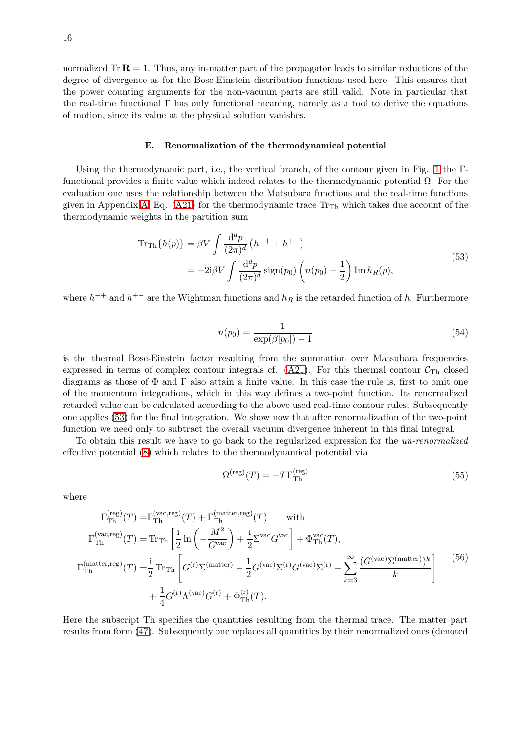normalized  $Tr \mathbf{R} = 1$ . Thus, any in-matter part of the propagator leads to similar reductions of the degree of divergence as for the Bose-Einstein distribution functions used here. This ensures that the power counting arguments for the non-vacuum parts are still valid. Note in particular that the real-time functional  $\Gamma$  has only functional meaning, namely as a tool to derive the equations of motion, since its value at the physical solution vanishes.

#### E. Renormalization of the thermodynamical potential

Using the thermodynamic part, i.e., the vertical branch, of the contour given in Fig. [1](#page-2-0) the Γfunctional provides a finite value which indeed relates to the thermodynamic potential Ω. For the evaluation one uses the relationship between the Matsubara functions and the real-time functions given in Appendix [A,](#page-18-0) Eq. [\(A21\)](#page-20-6) for the thermodynamic trace  $Tr_{Th}$  which takes due account of the thermodynamic weights in the partition sum

<span id="page-15-0"></span>
$$
\begin{split} \text{Tr}_{\text{Th}}\{h(p)\} &= \beta V \int \frac{\mathrm{d}^d p}{(2\pi)^d} \left( h^{-+} + h^{+-} \right) \\ &= -2\mathrm{i} \beta V \int \frac{\mathrm{d}^d p}{(2\pi)^d} \operatorname{sign}(p_0) \left( n(p_0) + \frac{1}{2} \right) \operatorname{Im} h_R(p), \end{split} \tag{53}
$$

where  $h^{-+}$  and  $h^{+-}$  are the Wightman functions and  $h_R$  is the retarded function of h. Furthermore

$$
n(p_0) = \frac{1}{\exp(\beta|p_0|) - 1} \tag{54}
$$

is the thermal Bose-Einstein factor resulting from the summation over Matsubara frequencies expressed in terms of complex contour integrals cf.  $(A21)$ . For this thermal contour  $C_{\text{Th}}$  closed diagrams as those of Φ and Γ also attain a finite value. In this case the rule is, first to omit one of the momentum integrations, which in this way defines a two-point function. Its renormalized retarded value can be calculated according to the above used real-time contour rules. Subsequently one applies [\(53\)](#page-15-0) for the final integration. We show now that after renormalization of the two-point function we need only to subtract the overall vacuum divergence inherent in this final integral.

To obtain this result we have to go back to the regularized expression for the un-renormalized effective potential [\(8\)](#page-3-0) which relates to the thermodynamical potential via

$$
\Omega^{\text{(reg)}}(T) = -T\Gamma_{\text{Th}}^{\text{(reg)}}
$$
\n(55)

where

$$
\Gamma_{\text{Th}}^{\text{(reg)}}(T) = \Gamma_{\text{Th}}^{\text{(vac,reg)}}(T) + \Gamma_{\text{Th}}^{\text{(matter,reg)}}(T) \quad \text{with}
$$
\n
$$
\Gamma_{\text{Th}}^{\text{(vac,reg)}}(T) = \text{Tr}_{\text{Th}} \left[ \frac{i}{2} \ln \left( -\frac{M^2}{G^{\text{vac}}} \right) + \frac{i}{2} \Sigma^{\text{vac}} G^{\text{vac}} \right] + \Phi_{\text{Th}}^{\text{vac}}(T),
$$
\n
$$
\Gamma_{\text{Th}}^{\text{(matter,reg)}}(T) = \frac{i}{2} \text{Tr}_{\text{Th}} \left[ G^{(r)} \Sigma^{\text{(matter)}} - \frac{1}{2} G^{\text{(vac)}} \Sigma^{\text{(r)}} G^{\text{(vac)}} \Sigma^{\text{(r)}} - \sum_{k=3}^{\infty} \frac{(G^{\text{(vac)}} \Sigma^{\text{(matter)}})^k}{k} \right]
$$
\n
$$
+ \frac{1}{4} G^{(r)} \Lambda^{\text{(vac)}} G^{\text{(r)}} + \Phi_{\text{Th}}^{\text{(r)}}(T).
$$
\n(56)

Here the subscript Th specifies the quantities resulting from the thermal trace. The matter part results from form [\(47\)](#page-13-1). Subsequently one replaces all quantities by their renormalized ones (denoted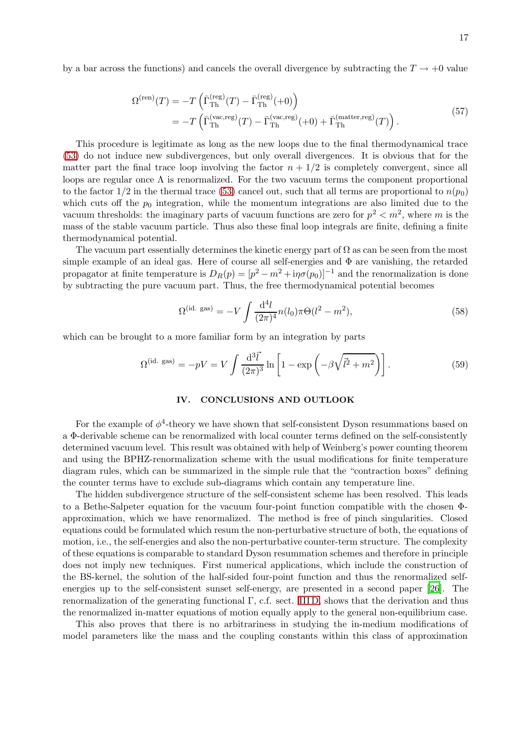by a bar across the functions) and cancels the overall divergence by subtracting the  $T \rightarrow +0$  value

$$
\Omega^{(\text{ren})}(T) = -T \left( \bar{\Gamma}_{\text{Th}}^{(\text{reg})}(T) - \bar{\Gamma}_{\text{Th}}^{(\text{reg})}(+0) \right)
$$
  
= 
$$
-T \left( \bar{\Gamma}_{\text{Th}}^{(\text{vac,reg})}(T) - \bar{\Gamma}_{\text{Th}}^{(\text{vac,reg})}(+0) + \bar{\Gamma}_{\text{Th}}^{(\text{matter,reg})}(T) \right).
$$
 (57)

This procedure is legitimate as long as the new loops due to the final thermodynamical trace [\(53\)](#page-15-0) do not induce new subdivergences, but only overall divergences. It is obvious that for the matter part the final trace loop involving the factor  $n + \frac{1}{2}$  is completely convergent, since all loops are regular once  $\Lambda$  is renormalized. For the two vacuum terms the component proportional to the factor  $1/2$  in the thermal trace [\(53\)](#page-15-0) cancel out, such that all terms are proportional to  $n(p_0)$ which cuts off the  $p_0$  integration, while the momentum integrations are also limited due to the vacuum thresholds: the imaginary parts of vacuum functions are zero for  $p^2 < m^2$ , where m is the mass of the stable vacuum particle. Thus also these final loop integrals are finite, defining a finite thermodynamical potential.

The vacuum part essentially determines the kinetic energy part of  $\Omega$  as can be seen from the most simple example of an ideal gas. Here of course all self-energies and  $\Phi$  are vanishing, the retarded propagator at finite temperature is  $D_R(p) = [p^2 - m^2 + i\eta\sigma(p_0)]^{-1}$  and the renormalization is done by subtracting the pure vacuum part. Thus, the free thermodynamical potential becomes

$$
\Omega^{(\text{id. gas})} = -V \int \frac{\mathrm{d}^4 l}{(2\pi)^4} n(l_0) \pi \Theta(l^2 - m^2),\tag{58}
$$

which can be brought to a more familiar form by an integration by parts

$$
\Omega^{(\text{id. gas})} = -pV = V \int \frac{\mathrm{d}^3 \vec{l}}{(2\pi)^3} \ln\left[1 - \exp\left(-\beta\sqrt{\vec{l}^2 + m^2}\right)\right].\tag{59}
$$

### IV. CONCLUSIONS AND OUTLOOK

For the example of  $\phi^4$ -theory we have shown that self-consistent Dyson resummations based on a Φ-derivable scheme can be renormalized with local counter terms defined on the self-consistently determined vacuum level. This result was obtained with help of Weinberg's power counting theorem and using the BPHZ-renormalization scheme with the usual modifications for finite temperature diagram rules, which can be summarized in the simple rule that the "contraction boxes" defining the counter terms have to exclude sub-diagrams which contain any temperature line.

The hidden subdivergence structure of the self-consistent scheme has been resolved. This leads to a Bethe-Salpeter equation for the vacuum four-point function compatible with the chosen Φapproximation, which we have renormalized. The method is free of pinch singularities. Closed equations could be formulated which resum the non-perturbative structure of both, the equations of motion, i.e., the self-energies and also the non-perturbative counter-term structure. The complexity of these equations is comparable to standard Dyson resummation schemes and therefore in principle does not imply new techniques. First numerical applications, which include the construction of the BS-kernel, the solution of the half-sided four-point function and thus the renormalized selfenergies up to the self-consistent sunset self-energy, are presented in a second paper [\[26\]](#page-21-21). The renormalization of the generating functional Γ, c.f. sect. [IIID,](#page-12-0) shows that the derivation and thus the renormalized in-matter equations of motion equally apply to the general non-equilibrium case.

This also proves that there is no arbitrariness in studying the in-medium modifications of model parameters like the mass and the coupling constants within this class of approximation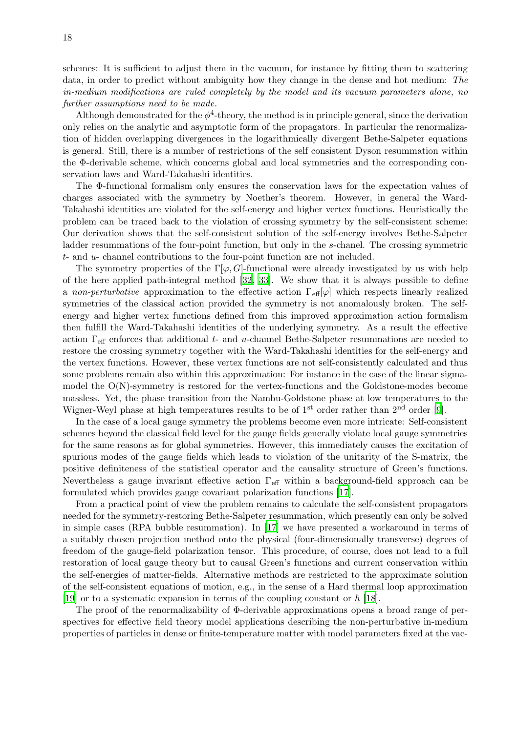schemes: It is sufficient to adjust them in the vacuum, for instance by fitting them to scattering data, in order to predict without ambiguity how they change in the dense and hot medium: The in-medium modifications are ruled completely by the model and its vacuum parameters alone, no further assumptions need to be made.

Although demonstrated for the  $\phi^4$ -theory, the method is in principle general, since the derivation only relies on the analytic and asymptotic form of the propagators. In particular the renormalization of hidden overlapping divergences in the logarithmically divergent Bethe-Salpeter equations is general. Still, there is a number of restrictions of the self consistent Dyson resummation within the Φ-derivable scheme, which concerns global and local symmetries and the corresponding conservation laws and Ward-Takahashi identities.

The Φ-functional formalism only ensures the conservation laws for the expectation values of charges associated with the symmetry by Noether's theorem. However, in general the Ward-Takahashi identities are violated for the self-energy and higher vertex functions. Heuristically the problem can be traced back to the violation of crossing symmetry by the self-consistent scheme: Our derivation shows that the self-consistent solution of the self-energy involves Bethe-Salpeter ladder resummations of the four-point function, but only in the s-chanel. The crossing symmetric t- and u- channel contributions to the four-point function are not included.

The symmetry properties of the  $\Gamma[\varphi, G]$ -functional were already investigated by us with help of the here applied path-integral method [\[32](#page-21-27), [33](#page-21-28)]. We show that it is always possible to define a non-perturbative approximation to the effective action  $\Gamma_{\text{eff}}[\varphi]$  which respects linearly realized symmetries of the classical action provided the symmetry is not anomalously broken. The selfenergy and higher vertex functions defined from this improved approximation action formalism then fulfill the Ward-Takahashi identities of the underlying symmetry. As a result the effective action  $\Gamma_{\text{eff}}$  enforces that additional t- and u-channel Bethe-Salpeter resummations are needed to restore the crossing symmetry together with the Ward-Takahashi identities for the self-energy and the vertex functions. However, these vertex functions are not self-consistently calculated and thus some problems remain also within this approximation: For instance in the case of the linear sigmamodel the O(N)-symmetry is restored for the vertex-functions and the Goldstone-modes become massless. Yet, the phase transition from the Nambu-Goldstone phase at low temperatures to the Wigner-Weyl phase at high temperatures results to be of  $1<sup>st</sup>$  order rather than  $2<sup>nd</sup>$  order [\[9\]](#page-21-4).

In the case of a local gauge symmetry the problems become even more intricate: Self-consistent schemes beyond the classical field level for the gauge fields generally violate local gauge symmetries for the same reasons as for global symmetries. However, this immediately causes the excitation of spurious modes of the gauge fields which leads to violation of the unitarity of the S-matrix, the positive definiteness of the statistical operator and the causality structure of Green's functions. Nevertheless a gauge invariant effective action Γeff within a background-field approach can be formulated which provides gauge covariant polarization functions [\[17\]](#page-21-12).

From a practical point of view the problem remains to calculate the self-consistent propagators needed for the symmetry-restoring Bethe-Salpeter resummation, which presently can only be solved in simple cases (RPA bubble resummation). In [\[17\]](#page-21-12) we have presented a workaround in terms of a suitably chosen projection method onto the physical (four-dimensionally transverse) degrees of freedom of the gauge-field polarization tensor. This procedure, of course, does not lead to a full restoration of local gauge theory but to causal Green's functions and current conservation within the self-energies of matter-fields. Alternative methods are restricted to the approximate solution of the self-consistent equations of motion, e.g., in the sense of a Hard thermal loop approximation [\[19\]](#page-21-14) or to a systematic expansion in terms of the coupling constant or  $\hbar$  [\[18\]](#page-21-13).

The proof of the renormalizability of Φ-derivable approximations opens a broad range of perspectives for effective field theory model applications describing the non-perturbative in-medium properties of particles in dense or finite-temperature matter with model parameters fixed at the vac-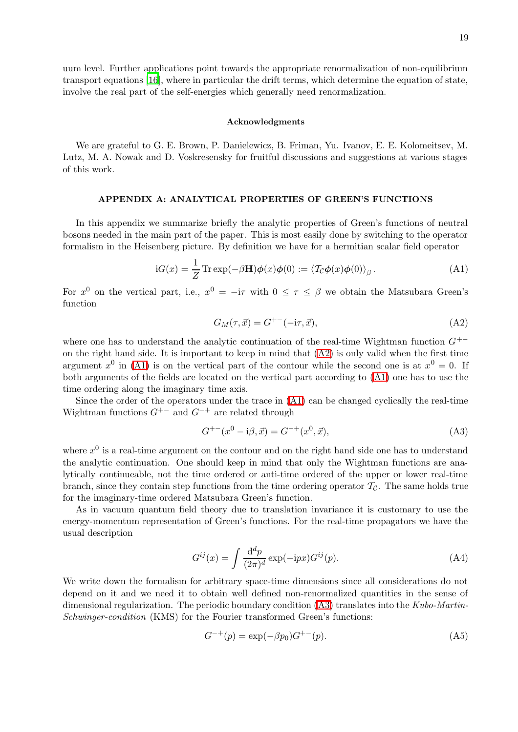<span id="page-18-2"></span>19

uum level. Further applications point towards the appropriate renormalization of non-equilibrium transport equations [\[16](#page-21-11)], where in particular the drift terms, which determine the equation of state, involve the real part of the self-energies which generally need renormalization.

### Acknowledgments

We are grateful to G. E. Brown, P. Danielewicz, B. Friman, Yu. Ivanov, E. E. Kolomeitsev, M. Lutz, M. A. Nowak and D. Voskresensky for fruitful discussions and suggestions at various stages of this work.

## APPENDIX A: ANALYTICAL PROPERTIES OF GREEN'S FUNCTIONS

<span id="page-18-0"></span>In this appendix we summarize briefly the analytic properties of Green's functions of neutral bosons needed in the main part of the paper. This is most easily done by switching to the operator formalism in the Heisenberg picture. By definition we have for a hermitian scalar field operator

$$
iG(x) = \frac{1}{Z} \operatorname{Tr} \exp(-\beta \mathbf{H}) \phi(x) \phi(0) := \langle T_{\mathcal{C}} \phi(x) \phi(0) \rangle_{\beta}.
$$
 (A1)

<span id="page-18-1"></span>For  $x^0$  on the vertical part, i.e.,  $x^0 = -i\tau$  with  $0 \leq \tau \leq \beta$  we obtain the Matsubara Green's function

$$
G_M(\tau, \vec{x}) = G^{+-}(-i\tau, \vec{x}),\tag{A2}
$$

where one has to understand the analytic continuation of the real-time Wightman function  $G^{+-}$ on the right hand side. It is important to keep in mind that [\(A2\)](#page-18-1) is only valid when the first time argument  $x^0$  in [\(A1\)](#page-18-2) is on the vertical part of the contour while the second one is at  $x^0 = 0$ . If both arguments of the fields are located on the vertical part according to [\(A1\)](#page-18-2) one has to use the time ordering along the imaginary time axis.

Since the order of the operators under the trace in [\(A1\)](#page-18-2) can be changed cyclically the real-time Wightman functions  $G^{+-}$  and  $G^{-+}$  are related through

<span id="page-18-3"></span>
$$
G^{+-}(x^0 - i\beta, \vec{x}) = G^{-+}(x^0, \vec{x}), \tag{A3}
$$

where  $x^0$  is a real-time argument on the contour and on the right hand side one has to understand the analytic continuation. One should keep in mind that only the Wightman functions are analytically continueable, not the time ordered or anti-time ordered of the upper or lower real-time branch, since they contain step functions from the time ordering operator  $\mathcal{T}_{\mathcal{C}}$ . The same holds true for the imaginary-time ordered Matsubara Green's function.

<span id="page-18-4"></span>As in vacuum quantum field theory due to translation invariance it is customary to use the energy-momentum representation of Green's functions. For the real-time propagators we have the usual description

$$
G^{ij}(x) = \int \frac{\mathrm{d}^d p}{(2\pi)^d} \exp(-\mathrm{i} px) G^{ij}(p). \tag{A4}
$$

We write down the formalism for arbitrary space-time dimensions since all considerations do not depend on it and we need it to obtain well defined non-renormalized quantities in the sense of dimensional regularization. The periodic boundary condition  $(A3)$  translates into the Kubo-Martin-Schwinger-condition (KMS) for the Fourier transformed Green's functions:

<span id="page-18-5"></span>
$$
G^{-+}(p) = \exp(-\beta p_0)G^{+-}(p). \tag{A5}
$$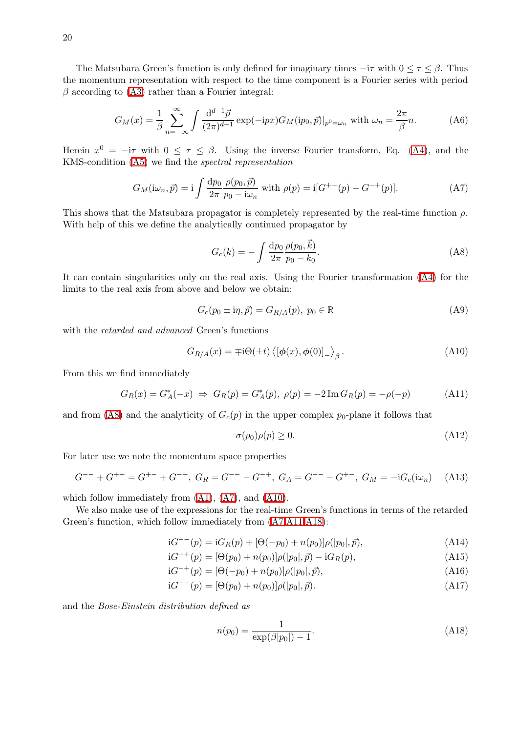The Matsubara Green's function is only defined for imaginary times  $-i\tau$  with  $0 \leq \tau \leq \beta$ . Thus the momentum representation with respect to the time component is a Fourier series with period  $\beta$  according to [\(A3\)](#page-18-3) rather than a Fourier integral:

$$
G_M(x) = \frac{1}{\beta} \sum_{n=-\infty}^{\infty} \int \frac{\mathrm{d}^{d-1} \vec{p}}{(2\pi)^{d-1}} \exp(-ipx) G_M(ip_0, \vec{p})|_{p^0 = \omega_n} \text{ with } \omega_n = \frac{2\pi}{\beta} n. \tag{A6}
$$

Herein  $x^0 = -i\tau$  with  $0 \leq \tau \leq \beta$ . Using the inverse Fourier transform, Eq. [\(A4\)](#page-18-4), and the KMS-condition [\(A5\)](#page-18-5) we find the spectral representation

$$
G_M(\mathrm{i}\omega_n, \vec{p}) = \mathrm{i} \int \frac{\mathrm{d}p_0}{2\pi} \frac{\rho(p_0, \vec{p})}{p_0 - \mathrm{i}\omega_n} \text{ with } \rho(p) = \mathrm{i} [G^{+-}(p) - G^{-+}(p)]. \tag{A7}
$$

This shows that the Matsubara propagator is completely represented by the real-time function  $\rho$ . With help of this we define the analytically continued propagator by

<span id="page-19-6"></span><span id="page-19-3"></span><span id="page-19-2"></span>
$$
G_c(k) = -\int \frac{\mathrm{d}p_0}{2\pi} \frac{\rho(p_0, \vec{k})}{p_0 - k_0}.
$$
 (A8)

It can contain singularities only on the real axis. Using the Fourier transformation ([A4\)](#page-18-4) for the limits to the real axis from above and below we obtain:

<span id="page-19-4"></span>
$$
G_c(p_0 \pm \mathrm{i}\eta, \vec{p}) = G_{R/A}(p), \ p_0 \in \mathbb{R} \tag{A9}
$$

with the *retarded and advanced* Green's functions

$$
G_{R/A}(x) = \pm i\Theta(\pm t) \langle [\phi(x), \phi(0)]_{-} \rangle_{\beta}.
$$
 (A10)

From this we find immediately

<span id="page-19-5"></span>
$$
G_R(x) = G_A^*(-x) \Rightarrow G_R(p) = G_A^*(p), \ \rho(p) = -2\operatorname{Im} G_R(p) = -\rho(-p) \tag{A11}
$$

and from [\(A8\)](#page-19-2) and the analyticity of  $G_c(p)$  in the upper complex  $p_0$ -plane it follows that

$$
\sigma(p_0)\rho(p) \ge 0. \tag{A12}
$$

For later use we note the momentum space properties

$$
G^{--} + G^{++} = G^{+-} + G^{-+}, \ G_R = G^{--} - G^{-+}, \ G_A = G^{--} - G^{+-}, \ G_M = -iG_c(i\omega_n) \tag{A13}
$$

which follow immediately from [\(A1\)](#page-18-2), [\(A7\)](#page-19-3), and [\(A10\)](#page-19-4).

We also make use of the expressions for the real-time Green's functions in terms of the retarded Green's function, which follow immediately from [\(A7,](#page-19-3)[A11,](#page-19-5)[A18\)](#page-19-1):

$$
iG^{--}(p) = iG_R(p) + [\Theta(-p_0) + n(p_0)]\rho(|p_0|, \vec{p}), \qquad (A14)
$$

$$
iG^{++}(p) = [\Theta(p_0) + n(p_0)]\rho(|p_0|, \vec{p}) - iG_R(p), \qquad (A15)
$$

$$
iG^{-+}(p) = [\Theta(-p_0) + n(p_0)]\rho(|p_0|, \vec{p}), \qquad (A16)
$$

<span id="page-19-1"></span>
$$
iG^{+-}(p) = [\Theta(p_0) + n(p_0)]\rho(|p_0|, \vec{p}).
$$
\n(A17)

and the Bose-Einstein distribution defined as

<span id="page-19-0"></span>
$$
n(p_0) = \frac{1}{\exp(\beta|p_0|) - 1}.\tag{A18}
$$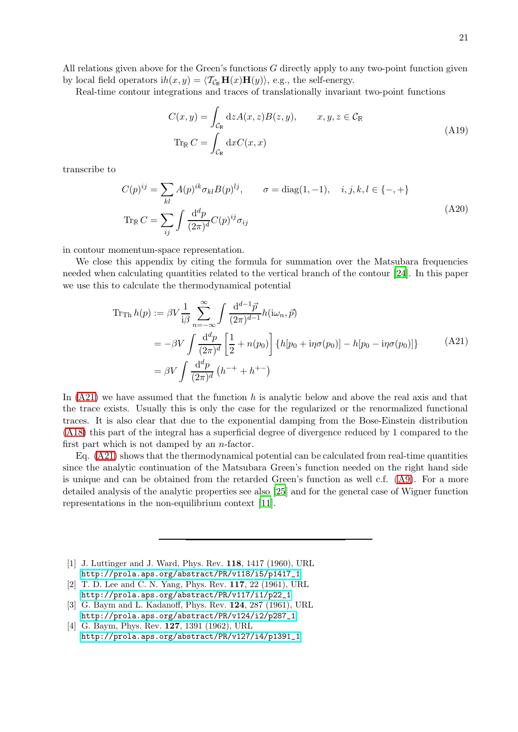All relations given above for the Green's functions G directly apply to any two-point function given by local field operators  $ih(x, y) = \langle \mathcal{T}_{\mathcal{C}_{\mathbb{R}}} \mathbf{H}(x) \mathbf{H}(y) \rangle$ , e.g., the self-energy.

Real-time contour integrations and traces of translationally invariant two-point functions

<span id="page-20-4"></span>
$$
C(x,y) = \int_{\mathcal{C}_{\mathbb{R}}} dz A(x,z)B(z,y), \qquad x, y, z \in \mathcal{C}_{\mathbb{R}}
$$
  
Tr <sub>$\mathbb{R}$</sub>   $C = \int_{\mathcal{C}_{\mathbb{R}}} dx C(x,x)$  (A19)

<span id="page-20-5"></span>transcribe to

$$
C(p)^{ij} = \sum_{kl} A(p)^{ik} \sigma_{kl} B(p)^{lj}, \qquad \sigma = \text{diag}(1, -1), \quad i, j, k, l \in \{-, +\}
$$
  

$$
\text{Tr}_{\mathbb{R}} C = \sum_{ij} \int \frac{\mathrm{d}^d p}{(2\pi)^d} C(p)^{ij} \sigma_{ij}
$$
 (A20)

in contour momentum-space representation.

We close this appendix by citing the formula for summation over the Matsubara frequencies needed when calculating quantities related to the vertical branch of the contour [\[24](#page-21-19)]. In this paper we use this to calculate the thermodynamical potential

<span id="page-20-6"></span>
$$
\begin{split} \text{Tr}_{\text{Th}} \, h(p) &:= \beta V \frac{1}{i\beta} \sum_{n=-\infty}^{\infty} \int \frac{\mathrm{d}^{d-1} \vec{p}}{(2\pi)^{d-1}} h(\mathrm{i}\omega_n, \vec{p}) \\ &= -\beta V \int \frac{\mathrm{d}^d p}{(2\pi)^d} \left[ \frac{1}{2} + n(p_0) \right] \left\{ h[p_0 + \mathrm{i}\eta \sigma(p_0)] - h[p_0 - \mathrm{i}\eta \sigma(p_0)] \right\} \\ &= \beta V \int \frac{\mathrm{d}^d p}{(2\pi)^d} \left( h^{-+} + h^{+-} \right) \end{split} \tag{A21}
$$

In  $(A21)$  we have assumed that the function h is analytic below and above the real axis and that the trace exists. Usually this is only the case for the regularized or the renormalized functional traces. It is also clear that due to the exponential damping from the Bose-Einstein distribution [\(A18\)](#page-19-1) this part of the integral has a superficial degree of divergence reduced by 1 compared to the first part which is not damped by an  $n$ -factor.

Eq. [\(A21\)](#page-20-6) shows that the thermodynamical potential can be calculated from real-time quantities since the analytic continuation of the Matsubara Green's function needed on the right hand side is unique and can be obtained from the retarded Green's function as well c.f. [\(A9\)](#page-19-6). For a more detailed analysis of the analytic properties see also [\[25\]](#page-21-20) and for the general case of Wigner function representations in the non-equilibrium context [\[11](#page-21-6)].

- <span id="page-20-0"></span>[1] J. Luttinger and J. Ward, Phys. Rev. 118, 1417 (1960), URL [http://prola.aps.org/abstract/PR/v118/i5/p1417\\_1](http://prola.aps.org/abstract/PR/v118/i5/p1417_1).
- <span id="page-20-1"></span>[2] T. D. Lee and C. N. Yang, Phys. Rev. 117, 22 (1961), URL [http://prola.aps.org/abstract/PR/v117/i1/p22\\_1](http://prola.aps.org/abstract/PR/v117/i1/p22_1).
- <span id="page-20-2"></span>[3] G. Baym and L. Kadanoff, Phys. Rev. 124, 287 (1961), URL [http://prola.aps.org/abstract/PR/v124/i2/p287\\_1](http://prola.aps.org/abstract/PR/v124/i2/p287_1).
- <span id="page-20-3"></span>[4] G. Baym, Phys. Rev. **127**, 1391 (1962), URL [http://prola.aps.org/abstract/PR/v127/i4/p1391\\_1](http://prola.aps.org/abstract/PR/v127/i4/p1391_1).